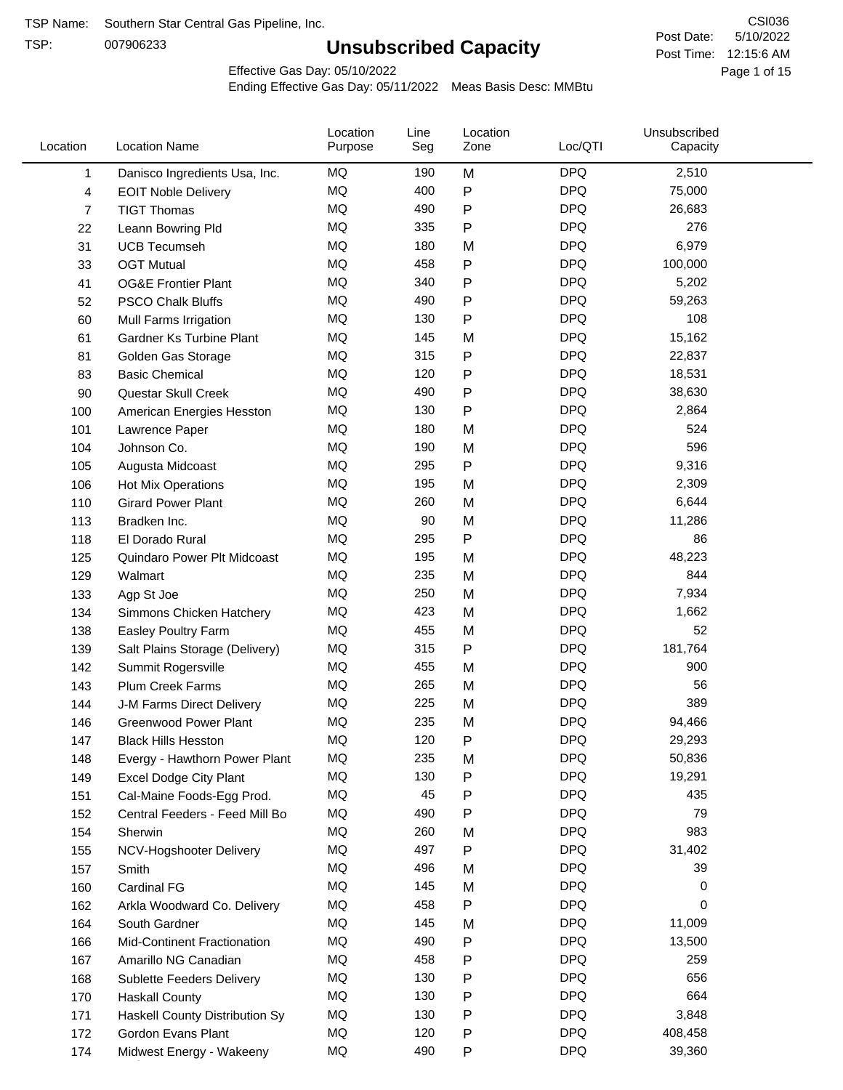TSP:

## **Unsubscribed Capacity**

5/10/2022 Page 1 of 15 Post Time: 12:15:6 AM CSI036 Post Date:

Effective Gas Day: 05/10/2022

| Location | <b>Location Name</b>           | Location<br>Purpose | Line<br>Seg | Location<br>Zone | Loc/QTI    | Unsubscribed<br>Capacity |  |
|----------|--------------------------------|---------------------|-------------|------------------|------------|--------------------------|--|
| 1        | Danisco Ingredients Usa, Inc.  | MQ                  | 190         | M                | <b>DPQ</b> | 2,510                    |  |
| 4        | <b>EOIT Noble Delivery</b>     | MQ                  | 400         | $\mathsf{P}$     | <b>DPQ</b> | 75,000                   |  |
| 7        | <b>TIGT Thomas</b>             | <b>MQ</b>           | 490         | P                | <b>DPQ</b> | 26,683                   |  |
| 22       | Leann Bowring Pld              | MQ                  | 335         | P                | <b>DPQ</b> | 276                      |  |
| 31       | <b>UCB Tecumseh</b>            | <b>MQ</b>           | 180         | M                | <b>DPQ</b> | 6,979                    |  |
| 33       | <b>OGT Mutual</b>              | <b>MQ</b>           | 458         | P                | <b>DPQ</b> | 100,000                  |  |
| 41       | <b>OG&amp;E Frontier Plant</b> | MQ                  | 340         | P                | <b>DPQ</b> | 5,202                    |  |
| 52       | <b>PSCO Chalk Bluffs</b>       | MQ                  | 490         | $\mathsf{P}$     | <b>DPQ</b> | 59,263                   |  |
| 60       | Mull Farms Irrigation          | MQ                  | 130         | $\mathsf{P}$     | <b>DPQ</b> | 108                      |  |
| 61       | Gardner Ks Turbine Plant       | <b>MQ</b>           | 145         | M                | <b>DPQ</b> | 15,162                   |  |
| 81       | Golden Gas Storage             | MQ                  | 315         | ${\sf P}$        | <b>DPQ</b> | 22,837                   |  |
| 83       | <b>Basic Chemical</b>          | MQ                  | 120         | ${\sf P}$        | <b>DPQ</b> | 18,531                   |  |
| 90       | Questar Skull Creek            | MQ                  | 490         | P                | <b>DPQ</b> | 38,630                   |  |
| 100      | American Energies Hesston      | MQ                  | 130         | $\mathsf{P}$     | <b>DPQ</b> | 2,864                    |  |
| 101      | Lawrence Paper                 | <b>MQ</b>           | 180         | M                | <b>DPQ</b> | 524                      |  |
| 104      | Johnson Co.                    | MQ                  | 190         | M                | <b>DPQ</b> | 596                      |  |
| 105      | Augusta Midcoast               | <b>MQ</b>           | 295         | $\mathsf{P}$     | <b>DPQ</b> | 9,316                    |  |
| 106      | Hot Mix Operations             | MQ                  | 195         | M                | <b>DPQ</b> | 2,309                    |  |
| 110      | <b>Girard Power Plant</b>      | MQ                  | 260         | M                | <b>DPQ</b> | 6,644                    |  |
| 113      | Bradken Inc.                   | <b>MQ</b>           | 90          | M                | <b>DPQ</b> | 11,286                   |  |
| 118      | El Dorado Rural                | MQ                  | 295         | P                | <b>DPQ</b> | 86                       |  |
| 125      | Quindaro Power Plt Midcoast    | MQ                  | 195         | M                | <b>DPQ</b> | 48,223                   |  |
| 129      | Walmart                        | <b>MQ</b>           | 235         | M                | <b>DPQ</b> | 844                      |  |
| 133      | Agp St Joe                     | <b>MQ</b>           | 250         | M                | <b>DPQ</b> | 7,934                    |  |
| 134      | Simmons Chicken Hatchery       | MQ                  | 423         | M                | <b>DPQ</b> | 1,662                    |  |
| 138      | Easley Poultry Farm            | MQ                  | 455         | M                | <b>DPQ</b> | 52                       |  |
| 139      | Salt Plains Storage (Delivery) | MQ                  | 315         | P                | <b>DPQ</b> | 181,764                  |  |
| 142      | Summit Rogersville             | MQ                  | 455         | M                | <b>DPQ</b> | 900                      |  |
| 143      | <b>Plum Creek Farms</b>        | MQ                  | 265         | M                | <b>DPQ</b> | 56                       |  |
| 144      | J-M Farms Direct Delivery      | MQ                  | 225         | M                | <b>DPQ</b> | 389                      |  |
| 146      | <b>Greenwood Power Plant</b>   | MQ                  | 235         | M                | <b>DPQ</b> | 94,466                   |  |
| 147      | <b>Black Hills Hesston</b>     | <b>MQ</b>           | 120         | P                | <b>DPQ</b> | 29,293                   |  |
| 148      | Evergy - Hawthorn Power Plant  | MQ                  | 235         | M                | <b>DPQ</b> | 50,836                   |  |
| 149      | <b>Excel Dodge City Plant</b>  | MQ                  | 130         | $\mathsf{P}$     | <b>DPQ</b> | 19,291                   |  |
| 151      | Cal-Maine Foods-Egg Prod.      | MQ                  | 45          | P                | <b>DPQ</b> | 435                      |  |
| 152      | Central Feeders - Feed Mill Bo | MQ                  | 490         | P                | <b>DPQ</b> | 79                       |  |
| 154      | Sherwin                        | MQ                  | 260         | M                | <b>DPQ</b> | 983                      |  |
| 155      | NCV-Hogshooter Delivery        | MQ                  | 497         | $\mathsf{P}$     | <b>DPQ</b> | 31,402                   |  |
| 157      | Smith                          | MQ                  | 496         | M                | <b>DPQ</b> | 39                       |  |
| 160      | Cardinal FG                    | MQ                  | 145         | M                | <b>DPQ</b> | 0                        |  |
| 162      | Arkla Woodward Co. Delivery    | MQ                  | 458         | $\mathsf{P}$     | <b>DPQ</b> | 0                        |  |
| 164      | South Gardner                  | MQ                  | 145         | M                | <b>DPQ</b> | 11,009                   |  |
| 166      | Mid-Continent Fractionation    | MQ                  | 490         | P                | <b>DPQ</b> | 13,500                   |  |
| 167      | Amarillo NG Canadian           | MQ                  | 458         | P                | <b>DPQ</b> | 259                      |  |
| 168      | Sublette Feeders Delivery      | MQ                  | 130         | P                | <b>DPQ</b> | 656                      |  |
| 170      | <b>Haskall County</b>          | MQ                  | 130         | P                | <b>DPQ</b> | 664                      |  |
| 171      | Haskell County Distribution Sy | MQ                  | 130         | P                | <b>DPQ</b> | 3,848                    |  |
| 172      | Gordon Evans Plant             | MQ                  | 120         | P                | <b>DPQ</b> | 408,458                  |  |
| 174      | Midwest Energy - Wakeeny       | MQ                  | 490         | P                | <b>DPQ</b> | 39,360                   |  |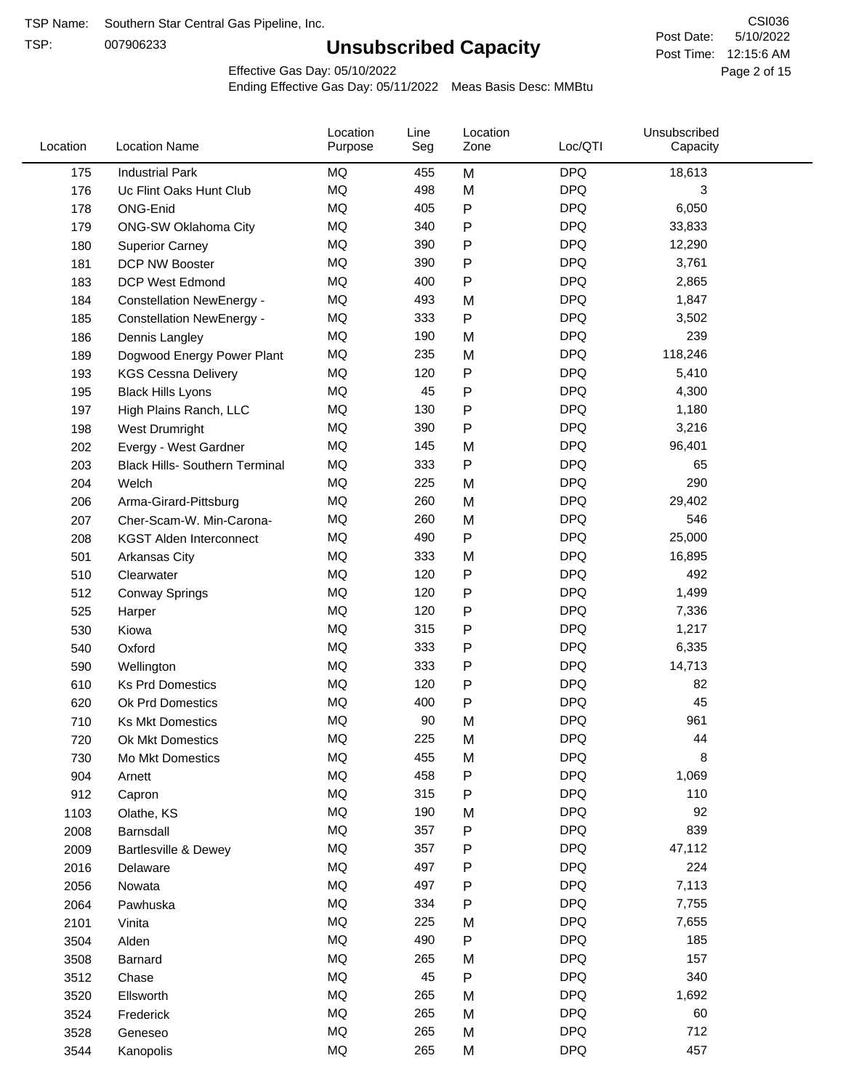TSP:

## **Unsubscribed Capacity**

5/10/2022 Page 2 of 15 Post Time: 12:15:6 AM CSI036 Post Date:

Effective Gas Day: 05/10/2022

| Location | <b>Location Name</b>                  | Location<br>Purpose | Line<br>Seg | Location<br>Zone | Loc/QTI    | Unsubscribed<br>Capacity |  |
|----------|---------------------------------------|---------------------|-------------|------------------|------------|--------------------------|--|
| 175      | <b>Industrial Park</b>                | <b>MQ</b>           | 455         | M                | <b>DPQ</b> | 18,613                   |  |
| 176      | Uc Flint Oaks Hunt Club               | MQ                  | 498         | M                | <b>DPQ</b> | 3                        |  |
| 178      | ONG-Enid                              | <b>MQ</b>           | 405         | P                | <b>DPQ</b> | 6,050                    |  |
| 179      | <b>ONG-SW Oklahoma City</b>           | <b>MQ</b>           | 340         | P                | <b>DPQ</b> | 33,833                   |  |
| 180      | <b>Superior Carney</b>                | <b>MQ</b>           | 390         | P                | <b>DPQ</b> | 12,290                   |  |
| 181      | DCP NW Booster                        | <b>MQ</b>           | 390         | P                | <b>DPQ</b> | 3,761                    |  |
| 183      | <b>DCP West Edmond</b>                | MQ                  | 400         | P                | <b>DPQ</b> | 2,865                    |  |
| 184      | <b>Constellation NewEnergy -</b>      | MQ                  | 493         | M                | <b>DPQ</b> | 1,847                    |  |
| 185      | <b>Constellation NewEnergy -</b>      | MQ                  | 333         | P                | <b>DPQ</b> | 3,502                    |  |
| 186      | Dennis Langley                        | MQ                  | 190         | M                | <b>DPQ</b> | 239                      |  |
| 189      | Dogwood Energy Power Plant            | <b>MQ</b>           | 235         | M                | <b>DPQ</b> | 118,246                  |  |
| 193      | <b>KGS Cessna Delivery</b>            | <b>MQ</b>           | 120         | P                | <b>DPQ</b> | 5,410                    |  |
| 195      | <b>Black Hills Lyons</b>              | MQ                  | 45          | P                | <b>DPQ</b> | 4,300                    |  |
| 197      | High Plains Ranch, LLC                | <b>MQ</b>           | 130         | P                | <b>DPQ</b> | 1,180                    |  |
| 198      | <b>West Drumright</b>                 | MQ                  | 390         | P                | <b>DPQ</b> | 3,216                    |  |
| 202      | Evergy - West Gardner                 | <b>MQ</b>           | 145         | M                | <b>DPQ</b> | 96,401                   |  |
| 203      | <b>Black Hills- Southern Terminal</b> | <b>MQ</b>           | 333         | Ρ                | <b>DPQ</b> | 65                       |  |
| 204      | Welch                                 | <b>MQ</b>           | 225         | M                | <b>DPQ</b> | 290                      |  |
| 206      | Arma-Girard-Pittsburg                 | <b>MQ</b>           | 260         | M                | <b>DPQ</b> | 29,402                   |  |
| 207      | Cher-Scam-W. Min-Carona-              | <b>MQ</b>           | 260         | M                | <b>DPQ</b> | 546                      |  |
| 208      | <b>KGST Alden Interconnect</b>        | MQ                  | 490         | P                | <b>DPQ</b> | 25,000                   |  |
| 501      | Arkansas City                         | MQ                  | 333         | M                | <b>DPQ</b> | 16,895                   |  |
| 510      | Clearwater                            | <b>MQ</b>           | 120         | P                | <b>DPQ</b> | 492                      |  |
| 512      | <b>Conway Springs</b>                 | <b>MQ</b>           | 120         | P                | <b>DPQ</b> | 1,499                    |  |
| 525      | Harper                                | <b>MQ</b>           | 120         | P                | <b>DPQ</b> | 7,336                    |  |
| 530      | Kiowa                                 | <b>MQ</b>           | 315         | P                | <b>DPQ</b> | 1,217                    |  |
| 540      | Oxford                                | <b>MQ</b>           | 333         | Ρ                | <b>DPQ</b> | 6,335                    |  |
| 590      | Wellington                            | <b>MQ</b>           | 333         | P                | <b>DPQ</b> | 14,713                   |  |
| 610      | <b>Ks Prd Domestics</b>               | MQ                  | 120         | P                | <b>DPQ</b> | 82                       |  |
| 620      | Ok Prd Domestics                      | MQ                  | 400         | P                | <b>DPQ</b> | 45                       |  |
| 710      | <b>Ks Mkt Domestics</b>               | <b>MQ</b>           | 90          | M                | <b>DPQ</b> | 961                      |  |
| 720      | Ok Mkt Domestics                      | <b>MQ</b>           | 225         | M                | <b>DPQ</b> | 44                       |  |
| 730      | Mo Mkt Domestics                      | MQ                  | 455         | M                | <b>DPQ</b> | 8                        |  |
| 904      | Arnett                                | MQ                  | 458         | Ρ                | <b>DPQ</b> | 1,069                    |  |
| 912      | Capron                                | MQ                  | 315         | P                | <b>DPQ</b> | 110                      |  |
| 1103     | Olathe, KS                            | MQ                  | 190         | M                | <b>DPQ</b> | 92                       |  |
| 2008     | Barnsdall                             | MQ                  | 357         | P                | <b>DPQ</b> | 839                      |  |
| 2009     | Bartlesville & Dewey                  | MQ                  | 357         | Ρ                | <b>DPQ</b> | 47,112                   |  |
| 2016     | Delaware                              | $\sf{MQ}$           | 497         | Ρ                | <b>DPQ</b> | 224                      |  |
| 2056     | Nowata                                | $\sf{MQ}$           | 497         | P                | <b>DPQ</b> | 7,113                    |  |
| 2064     | Pawhuska                              | MQ                  | 334         | Ρ                | <b>DPQ</b> | 7,755                    |  |
| 2101     | Vinita                                | MQ                  | 225         | M                | <b>DPQ</b> | 7,655                    |  |
| 3504     | Alden                                 | MQ                  | 490         | P                | <b>DPQ</b> | 185                      |  |
| 3508     | Barnard                               | MQ                  | 265         | M                | <b>DPQ</b> | 157                      |  |
| 3512     | Chase                                 | MQ                  | 45          | P                | <b>DPQ</b> | 340                      |  |
| 3520     | Ellsworth                             | MQ                  | 265         | M                | <b>DPQ</b> | 1,692                    |  |
| 3524     | Frederick                             | $\sf{MQ}$           | 265         | M                | <b>DPQ</b> | 60                       |  |
| 3528     | Geneseo                               | $\sf{MQ}$           | 265         | M                | <b>DPQ</b> | 712                      |  |
| 3544     | Kanopolis                             | $\sf{MQ}$           | 265         | M                | <b>DPQ</b> | 457                      |  |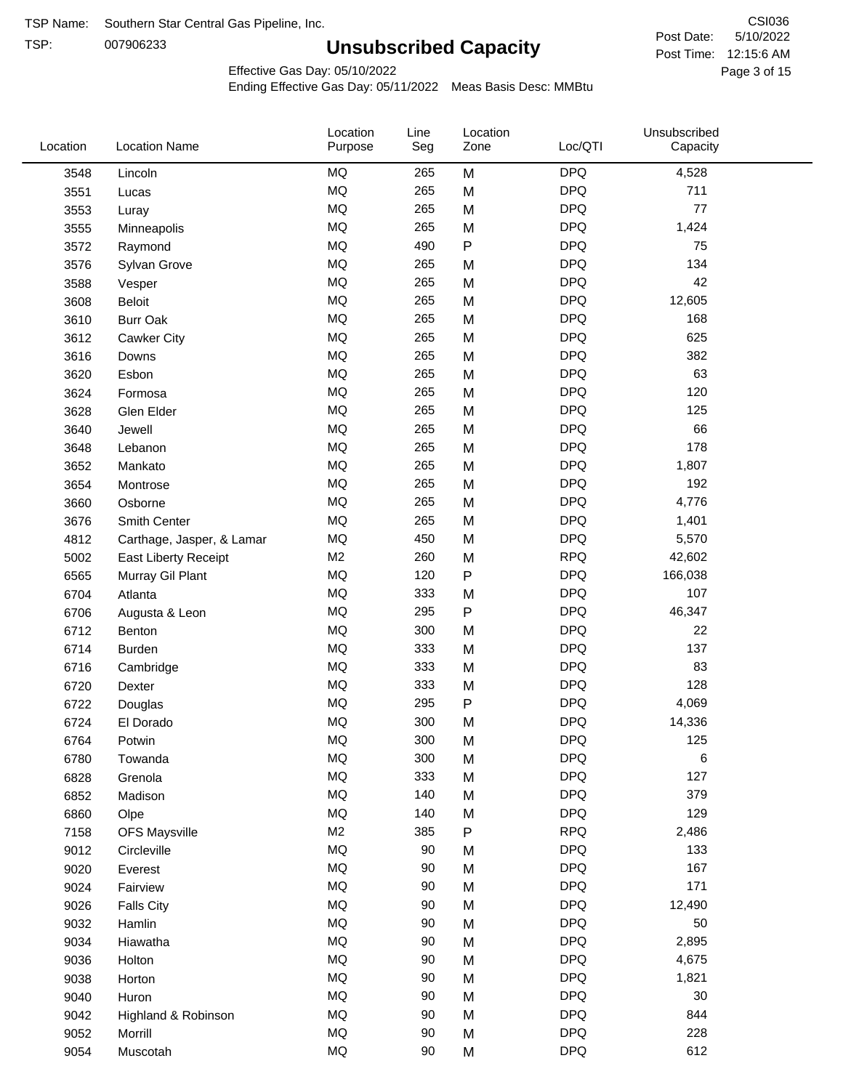TSP: 

# **Unsubscribed Capacity**

5/10/2022 Page 3 of 15 Post Time: 12:15:6 AM CSI036 Post Date:

Effective Gas Day: 05/10/2022

| Location | <b>Location Name</b>      | Location<br>Purpose | Line<br>Seg | Location<br>Zone | Loc/QTI    | Unsubscribed<br>Capacity |  |
|----------|---------------------------|---------------------|-------------|------------------|------------|--------------------------|--|
| 3548     | Lincoln                   | <b>MQ</b>           | 265         | M                | <b>DPQ</b> | 4,528                    |  |
| 3551     | Lucas                     | MQ                  | 265         | M                | <b>DPQ</b> | 711                      |  |
| 3553     | Luray                     | MQ                  | 265         | M                | <b>DPQ</b> | 77                       |  |
| 3555     | Minneapolis               | MQ                  | 265         | M                | <b>DPQ</b> | 1,424                    |  |
| 3572     | Raymond                   | <b>MQ</b>           | 490         | $\mathsf{P}$     | <b>DPQ</b> | 75                       |  |
| 3576     | Sylvan Grove              | MQ                  | 265         | M                | <b>DPQ</b> | 134                      |  |
| 3588     | Vesper                    | MQ                  | 265         | M                | <b>DPQ</b> | 42                       |  |
| 3608     | <b>Beloit</b>             | MQ                  | 265         | M                | <b>DPQ</b> | 12,605                   |  |
| 3610     | <b>Burr Oak</b>           | MQ                  | 265         | M                | <b>DPQ</b> | 168                      |  |
| 3612     | <b>Cawker City</b>        | MQ                  | 265         | M                | <b>DPQ</b> | 625                      |  |
| 3616     | Downs                     | MQ                  | 265         | M                | <b>DPQ</b> | 382                      |  |
| 3620     | Esbon                     | MQ                  | 265         | M                | <b>DPQ</b> | 63                       |  |
| 3624     | Formosa                   | MQ                  | 265         | M                | <b>DPQ</b> | 120                      |  |
| 3628     | Glen Elder                | MQ                  | 265         | M                | <b>DPQ</b> | 125                      |  |
| 3640     | Jewell                    | MQ                  | 265         | M                | <b>DPQ</b> | 66                       |  |
| 3648     | Lebanon                   | MQ                  | 265         | M                | <b>DPQ</b> | 178                      |  |
| 3652     | Mankato                   | MQ                  | 265         | M                | <b>DPQ</b> | 1,807                    |  |
| 3654     | Montrose                  | <b>MQ</b>           | 265         | M                | <b>DPQ</b> | 192                      |  |
| 3660     | Osborne                   | <b>MQ</b>           | 265         | M                | <b>DPQ</b> | 4,776                    |  |
| 3676     | Smith Center              | MQ                  | 265         | M                | <b>DPQ</b> | 1,401                    |  |
| 4812     | Carthage, Jasper, & Lamar | $\sf{MQ}$           | 450         | M                | <b>DPQ</b> | 5,570                    |  |
| 5002     | East Liberty Receipt      | M <sub>2</sub>      | 260         | M                | <b>RPQ</b> | 42,602                   |  |
| 6565     | Murray Gil Plant          | MQ                  | 120         | $\mathsf{P}$     | <b>DPQ</b> | 166,038                  |  |
| 6704     | Atlanta                   | MQ                  | 333         | M                | <b>DPQ</b> | 107                      |  |
| 6706     | Augusta & Leon            | MQ                  | 295         | ${\sf P}$        | <b>DPQ</b> | 46,347                   |  |
| 6712     | Benton                    | MQ                  | 300         | M                | <b>DPQ</b> | 22                       |  |
| 6714     | Burden                    | <b>MQ</b>           | 333         | M                | <b>DPQ</b> | 137                      |  |
| 6716     | Cambridge                 | MQ                  | 333         | M                | <b>DPQ</b> | 83                       |  |
| 6720     | Dexter                    | MQ                  | 333         | M                | <b>DPQ</b> | 128                      |  |
| 6722     | Douglas                   | $\sf{MQ}$           | 295         | ${\sf P}$        | <b>DPQ</b> | 4,069                    |  |
| 6724     | El Dorado                 | MQ                  | 300         | M                | <b>DPQ</b> | 14,336                   |  |
| 6764     | Potwin                    | $\sf{MQ}$           | 300         | M                | <b>DPQ</b> | 125                      |  |
| 6780     | Towanda                   | MQ                  | 300         | M                | <b>DPQ</b> | 6                        |  |
| 6828     | Grenola                   | $\sf{MQ}$           | 333         | M                | <b>DPQ</b> | 127                      |  |
| 6852     | Madison                   | MQ                  | 140         | M                | <b>DPQ</b> | 379                      |  |
| 6860     | Olpe                      | MQ                  | 140         | M                | <b>DPQ</b> | 129                      |  |
| 7158     | <b>OFS Maysville</b>      | M <sub>2</sub>      | 385         | ${\sf P}$        | <b>RPQ</b> | 2,486                    |  |
| 9012     | Circleville               | $\sf{MQ}$           | 90          | M                | <b>DPQ</b> | 133                      |  |
| 9020     | Everest                   | $\sf{MQ}$           | 90          | M                | <b>DPQ</b> | 167                      |  |
| 9024     | Fairview                  | $\sf{MQ}$           | 90          | M                | <b>DPQ</b> | 171                      |  |
| 9026     | <b>Falls City</b>         | MQ                  | 90          | M                | <b>DPQ</b> | 12,490                   |  |
| 9032     | Hamlin                    | MQ                  | 90          | M                | <b>DPQ</b> | 50                       |  |
| 9034     | Hiawatha                  | MQ                  | 90          | M                | <b>DPQ</b> | 2,895                    |  |
| 9036     | Holton                    | MQ                  | 90          | M                | <b>DPQ</b> | 4,675                    |  |
| 9038     | Horton                    | $\sf{MQ}$           | 90          | M                | <b>DPQ</b> | 1,821                    |  |
| 9040     | Huron                     | MQ                  | 90          | M                | <b>DPQ</b> | 30                       |  |
| 9042     | Highland & Robinson       | MQ                  | 90          | M                | <b>DPQ</b> | 844                      |  |
| 9052     | Morrill                   | $\sf{MQ}$           | 90          | M                | <b>DPQ</b> | 228                      |  |
| 9054     | Muscotah                  | $\sf{MQ}$           | 90          | M                | <b>DPQ</b> | 612                      |  |
|          |                           |                     |             |                  |            |                          |  |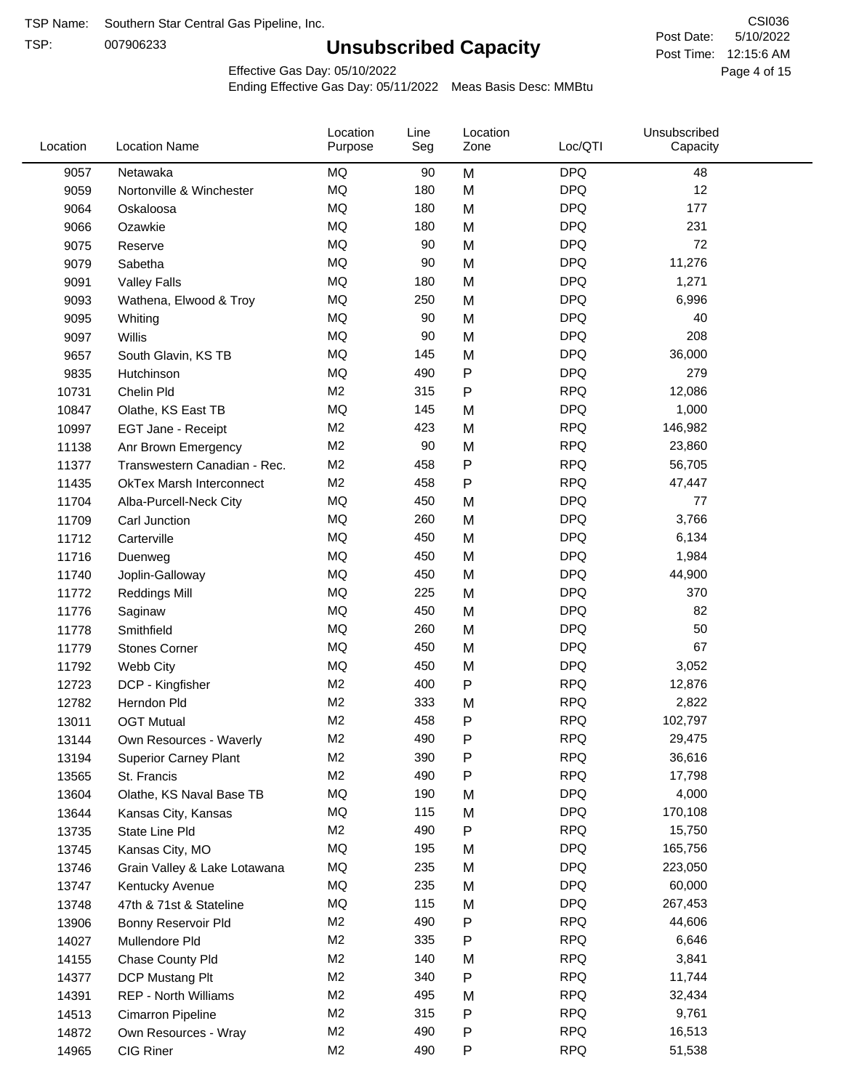TSP:

## **Unsubscribed Capacity**

5/10/2022 Page 4 of 15 Post Time: 12:15:6 AM CSI036 Post Date:

Effective Gas Day: 05/10/2022

| Location | <b>Location Name</b>            | Location<br>Purpose | Line<br>Seg | Location<br>Zone | Loc/QTI    | Unsubscribed<br>Capacity |  |
|----------|---------------------------------|---------------------|-------------|------------------|------------|--------------------------|--|
| 9057     | Netawaka                        | MQ                  | 90          | M                | <b>DPQ</b> | 48                       |  |
| 9059     | Nortonville & Winchester        | <b>MQ</b>           | 180         | M                | <b>DPQ</b> | 12                       |  |
| 9064     | Oskaloosa                       | MQ                  | 180         | M                | <b>DPQ</b> | 177                      |  |
| 9066     | Ozawkie                         | <b>MQ</b>           | 180         | M                | <b>DPQ</b> | 231                      |  |
| 9075     | Reserve                         | <b>MQ</b>           | 90          | M                | <b>DPQ</b> | 72                       |  |
| 9079     | Sabetha                         | <b>MQ</b>           | 90          | M                | <b>DPQ</b> | 11,276                   |  |
| 9091     | <b>Valley Falls</b>             | MQ                  | 180         | M                | <b>DPQ</b> | 1,271                    |  |
| 9093     | Wathena, Elwood & Troy          | <b>MQ</b>           | 250         | M                | <b>DPQ</b> | 6,996                    |  |
| 9095     | Whiting                         | MQ                  | 90          | M                | <b>DPQ</b> | 40                       |  |
| 9097     | Willis                          | <b>MQ</b>           | 90          | M                | <b>DPQ</b> | 208                      |  |
| 9657     | South Glavin, KS TB             | <b>MQ</b>           | 145         | M                | <b>DPQ</b> | 36,000                   |  |
| 9835     | Hutchinson                      | <b>MQ</b>           | 490         | P                | <b>DPQ</b> | 279                      |  |
| 10731    | Chelin Pld                      | M <sub>2</sub>      | 315         | P                | <b>RPQ</b> | 12,086                   |  |
| 10847    | Olathe, KS East TB              | <b>MQ</b>           | 145         | M                | <b>DPQ</b> | 1,000                    |  |
| 10997    | EGT Jane - Receipt              | M <sub>2</sub>      | 423         | M                | <b>RPQ</b> | 146,982                  |  |
| 11138    | Anr Brown Emergency             | M <sub>2</sub>      | 90          | M                | <b>RPQ</b> | 23,860                   |  |
| 11377    | Transwestern Canadian - Rec.    | M <sub>2</sub>      | 458         | P                | <b>RPQ</b> | 56,705                   |  |
| 11435    | <b>OkTex Marsh Interconnect</b> | M <sub>2</sub>      | 458         | $\mathsf{P}$     | <b>RPQ</b> | 47,447                   |  |
| 11704    | Alba-Purcell-Neck City          | <b>MQ</b>           | 450         | M                | <b>DPQ</b> | 77                       |  |
| 11709    | Carl Junction                   | <b>MQ</b>           | 260         | M                | <b>DPQ</b> | 3,766                    |  |
| 11712    | Carterville                     | <b>MQ</b>           | 450         | M                | <b>DPQ</b> | 6,134                    |  |
| 11716    | Duenweg                         | <b>MQ</b>           | 450         | M                | <b>DPQ</b> | 1,984                    |  |
| 11740    | Joplin-Galloway                 | <b>MQ</b>           | 450         | M                | <b>DPQ</b> | 44,900                   |  |
| 11772    | <b>Reddings Mill</b>            | <b>MQ</b>           | 225         | M                | <b>DPQ</b> | 370                      |  |
| 11776    | Saginaw                         | <b>MQ</b>           | 450         | M                | <b>DPQ</b> | 82                       |  |
| 11778    | Smithfield                      | <b>MQ</b>           | 260         | M                | <b>DPQ</b> | 50                       |  |
| 11779    | <b>Stones Corner</b>            | <b>MQ</b>           | 450         | M                | <b>DPQ</b> | 67                       |  |
| 11792    | Webb City                       | <b>MQ</b>           | 450         | M                | <b>DPQ</b> | 3,052                    |  |
| 12723    | DCP - Kingfisher                | M <sub>2</sub>      | 400         | P                | <b>RPQ</b> | 12,876                   |  |
| 12782    | Herndon Pld                     | M <sub>2</sub>      | 333         | M                | <b>RPQ</b> | 2,822                    |  |
| 13011    | <b>OGT Mutual</b>               | M <sub>2</sub>      | 458         | P                | <b>RPQ</b> | 102,797                  |  |
| 13144    | Own Resources - Waverly         | M <sub>2</sub>      | 490         | P                | <b>RPQ</b> | 29,475                   |  |
| 13194    | <b>Superior Carney Plant</b>    | M <sub>2</sub>      | 390         | P                | <b>RPQ</b> | 36,616                   |  |
| 13565    | St. Francis                     | M <sub>2</sub>      | 490         | P                | <b>RPQ</b> | 17,798                   |  |
| 13604    | Olathe, KS Naval Base TB        | MQ                  | 190         | M                | <b>DPQ</b> | 4,000                    |  |
| 13644    | Kansas City, Kansas             | MQ                  | 115         | M                | <b>DPQ</b> | 170,108                  |  |
| 13735    | State Line Pld                  | M <sub>2</sub>      | 490         | P                | <b>RPQ</b> | 15,750                   |  |
| 13745    | Kansas City, MO                 | MQ                  | 195         | M                | <b>DPQ</b> | 165,756                  |  |
| 13746    | Grain Valley & Lake Lotawana    | MQ                  | 235         | M                | <b>DPQ</b> | 223,050                  |  |
| 13747    | Kentucky Avenue                 | MQ                  | 235         | M                | <b>DPQ</b> | 60,000                   |  |
| 13748    | 47th & 71st & Stateline         | MQ                  | 115         | M                | <b>DPQ</b> | 267,453                  |  |
| 13906    | Bonny Reservoir Pld             | M <sub>2</sub>      | 490         | P                | <b>RPQ</b> | 44,606                   |  |
| 14027    | Mullendore Pld                  | M <sub>2</sub>      | 335         | P                | <b>RPQ</b> | 6,646                    |  |
| 14155    | Chase County Pld                | M <sub>2</sub>      | 140         | M                | <b>RPQ</b> | 3,841                    |  |
| 14377    | DCP Mustang Plt                 | M <sub>2</sub>      | 340         | P                | <b>RPQ</b> | 11,744                   |  |
| 14391    | <b>REP - North Williams</b>     | M <sub>2</sub>      | 495         | M                | <b>RPQ</b> | 32,434                   |  |
| 14513    | Cimarron Pipeline               | M <sub>2</sub>      | 315         | P                | <b>RPQ</b> | 9,761                    |  |
| 14872    | Own Resources - Wray            | M <sub>2</sub>      | 490         | P                | <b>RPQ</b> | 16,513                   |  |
| 14965    | CIG Riner                       | M <sub>2</sub>      | 490         | P                | <b>RPQ</b> | 51,538                   |  |
|          |                                 |                     |             |                  |            |                          |  |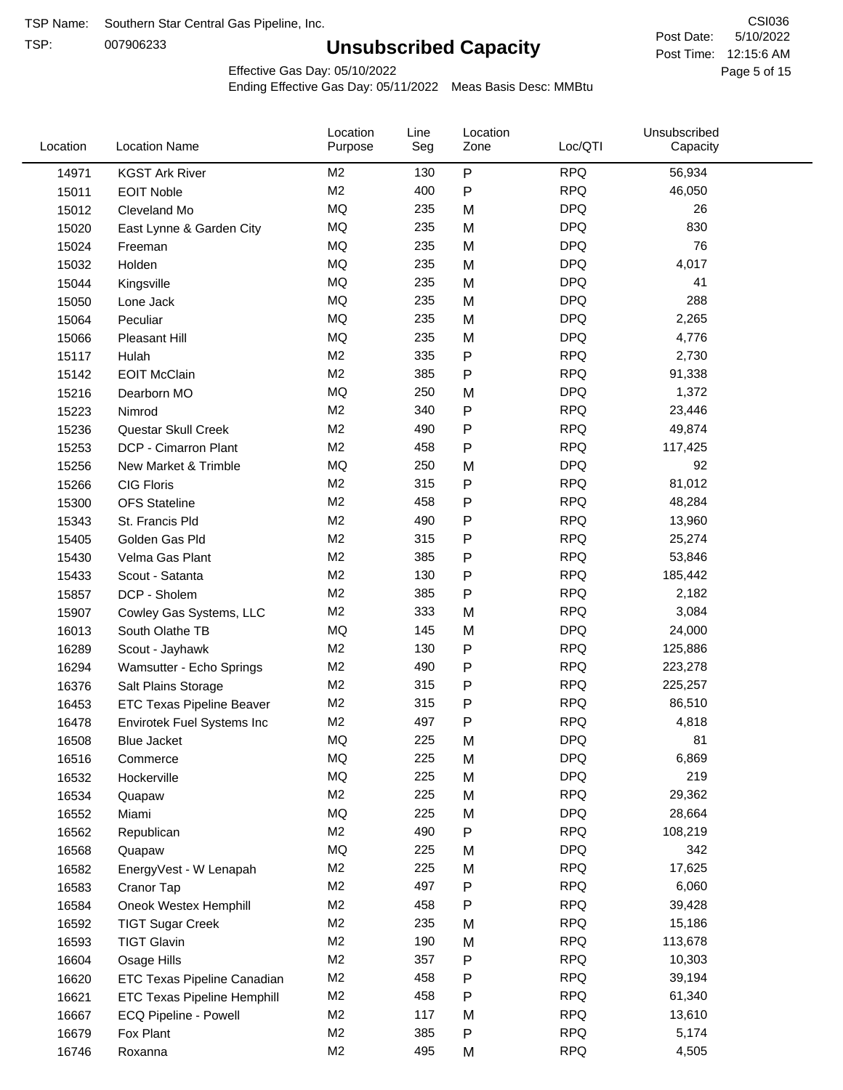TSP:

## **Unsubscribed Capacity**

5/10/2022 Page 5 of 15 Post Time: 12:15:6 AM CSI036 Post Date:

Effective Gas Day: 05/10/2022

| Location | <b>Location Name</b>               | Location<br>Purpose | Line<br>Seg | Location<br>Zone | Loc/QTI    | Unsubscribed<br>Capacity |  |
|----------|------------------------------------|---------------------|-------------|------------------|------------|--------------------------|--|
| 14971    | <b>KGST Ark River</b>              | M <sub>2</sub>      | 130         | P                | <b>RPQ</b> | 56,934                   |  |
| 15011    | <b>EOIT Noble</b>                  | M <sub>2</sub>      | 400         | P                | <b>RPQ</b> | 46,050                   |  |
| 15012    | Cleveland Mo                       | <b>MQ</b>           | 235         | M                | <b>DPQ</b> | 26                       |  |
| 15020    | East Lynne & Garden City           | <b>MQ</b>           | 235         | M                | <b>DPQ</b> | 830                      |  |
| 15024    | Freeman                            | <b>MQ</b>           | 235         | M                | <b>DPQ</b> | 76                       |  |
| 15032    | Holden                             | <b>MQ</b>           | 235         | M                | <b>DPQ</b> | 4,017                    |  |
| 15044    | Kingsville                         | <b>MQ</b>           | 235         | M                | <b>DPQ</b> | 41                       |  |
| 15050    | Lone Jack                          | <b>MQ</b>           | 235         | M                | <b>DPQ</b> | 288                      |  |
| 15064    | Peculiar                           | <b>MQ</b>           | 235         | M                | <b>DPQ</b> | 2,265                    |  |
| 15066    | Pleasant Hill                      | <b>MQ</b>           | 235         | M                | <b>DPQ</b> | 4,776                    |  |
| 15117    | Hulah                              | M <sub>2</sub>      | 335         | P                | <b>RPQ</b> | 2,730                    |  |
| 15142    | <b>EOIT McClain</b>                | M <sub>2</sub>      | 385         | P                | <b>RPQ</b> | 91,338                   |  |
| 15216    | Dearborn MO                        | MQ                  | 250         | M                | <b>DPQ</b> | 1,372                    |  |
| 15223    | Nimrod                             | M <sub>2</sub>      | 340         | P                | <b>RPQ</b> | 23,446                   |  |
| 15236    | Questar Skull Creek                | M <sub>2</sub>      | 490         | P                | <b>RPQ</b> | 49,874                   |  |
| 15253    | DCP - Cimarron Plant               | M <sub>2</sub>      | 458         | Ρ                | <b>RPQ</b> | 117,425                  |  |
| 15256    | New Market & Trimble               | <b>MQ</b>           | 250         | M                | <b>DPQ</b> | 92                       |  |
| 15266    | <b>CIG Floris</b>                  | M <sub>2</sub>      | 315         | Ρ                | <b>RPQ</b> | 81,012                   |  |
| 15300    | <b>OFS Stateline</b>               | M <sub>2</sub>      | 458         | P                | <b>RPQ</b> | 48,284                   |  |
| 15343    | St. Francis Pld                    | M <sub>2</sub>      | 490         | P                | <b>RPQ</b> | 13,960                   |  |
| 15405    | Golden Gas Pld                     | M <sub>2</sub>      | 315         | P                | <b>RPQ</b> | 25,274                   |  |
| 15430    | Velma Gas Plant                    | M <sub>2</sub>      | 385         | Ρ                | <b>RPQ</b> | 53,846                   |  |
| 15433    | Scout - Satanta                    | M <sub>2</sub>      | 130         | P                | <b>RPQ</b> | 185,442                  |  |
| 15857    | DCP - Sholem                       | M <sub>2</sub>      | 385         | P                | <b>RPQ</b> | 2,182                    |  |
| 15907    | Cowley Gas Systems, LLC            | M <sub>2</sub>      | 333         | M                | <b>RPQ</b> | 3,084                    |  |
| 16013    | South Olathe TB                    | MQ                  | 145         | M                | <b>DPQ</b> | 24,000                   |  |
| 16289    | Scout - Jayhawk                    | M <sub>2</sub>      | 130         | Ρ                | <b>RPQ</b> | 125,886                  |  |
| 16294    | Wamsutter - Echo Springs           | M <sub>2</sub>      | 490         | P                | <b>RPQ</b> | 223,278                  |  |
| 16376    | Salt Plains Storage                | M <sub>2</sub>      | 315         | P                | <b>RPQ</b> | 225,257                  |  |
| 16453    | <b>ETC Texas Pipeline Beaver</b>   | M <sub>2</sub>      | 315         | Ρ                | <b>RPQ</b> | 86,510                   |  |
| 16478    | Envirotek Fuel Systems Inc         | M <sub>2</sub>      | 497         | Ρ                | <b>RPQ</b> | 4,818                    |  |
| 16508    | <b>Blue Jacket</b>                 | <b>MQ</b>           | 225         | M                | <b>DPQ</b> | 81                       |  |
| 16516    | Commerce                           | MQ                  | 225         | M                | <b>DPQ</b> | 6,869                    |  |
| 16532    | Hockerville                        | <b>MQ</b>           | 225         | M                | <b>DPQ</b> | 219                      |  |
| 16534    | Quapaw                             | M <sub>2</sub>      | 225         | M                | <b>RPQ</b> | 29,362                   |  |
| 16552    | Miami                              | MQ                  | 225         | M                | <b>DPQ</b> | 28,664                   |  |
| 16562    | Republican                         | M <sub>2</sub>      | 490         | P                | <b>RPQ</b> | 108,219                  |  |
| 16568    | Quapaw                             | <b>MQ</b>           | 225         | M                | <b>DPQ</b> | 342                      |  |
| 16582    | EnergyVest - W Lenapah             | M <sub>2</sub>      | 225         | M                | <b>RPQ</b> | 17,625                   |  |
| 16583    | Cranor Tap                         | M <sub>2</sub>      | 497         | Ρ                | <b>RPQ</b> | 6,060                    |  |
| 16584    | Oneok Westex Hemphill              | M <sub>2</sub>      | 458         | Ρ                | <b>RPQ</b> | 39,428                   |  |
| 16592    | <b>TIGT Sugar Creek</b>            | M <sub>2</sub>      | 235         | M                | <b>RPQ</b> | 15,186                   |  |
| 16593    | <b>TIGT Glavin</b>                 | M <sub>2</sub>      | 190         | M                | <b>RPQ</b> | 113,678                  |  |
| 16604    | Osage Hills                        | M <sub>2</sub>      | 357         | Ρ                | <b>RPQ</b> | 10,303                   |  |
| 16620    | <b>ETC Texas Pipeline Canadian</b> | M <sub>2</sub>      | 458         | Ρ                | <b>RPQ</b> | 39,194                   |  |
| 16621    | <b>ETC Texas Pipeline Hemphill</b> | M <sub>2</sub>      | 458         | Ρ                | <b>RPQ</b> | 61,340                   |  |
| 16667    | ECQ Pipeline - Powell              | M <sub>2</sub>      | 117         | M                | <b>RPQ</b> | 13,610                   |  |
| 16679    | Fox Plant                          | M <sub>2</sub>      | 385         | Ρ                | <b>RPQ</b> | 5,174                    |  |
| 16746    | Roxanna                            | M <sub>2</sub>      | 495         | M                | <b>RPQ</b> | 4,505                    |  |
|          |                                    |                     |             |                  |            |                          |  |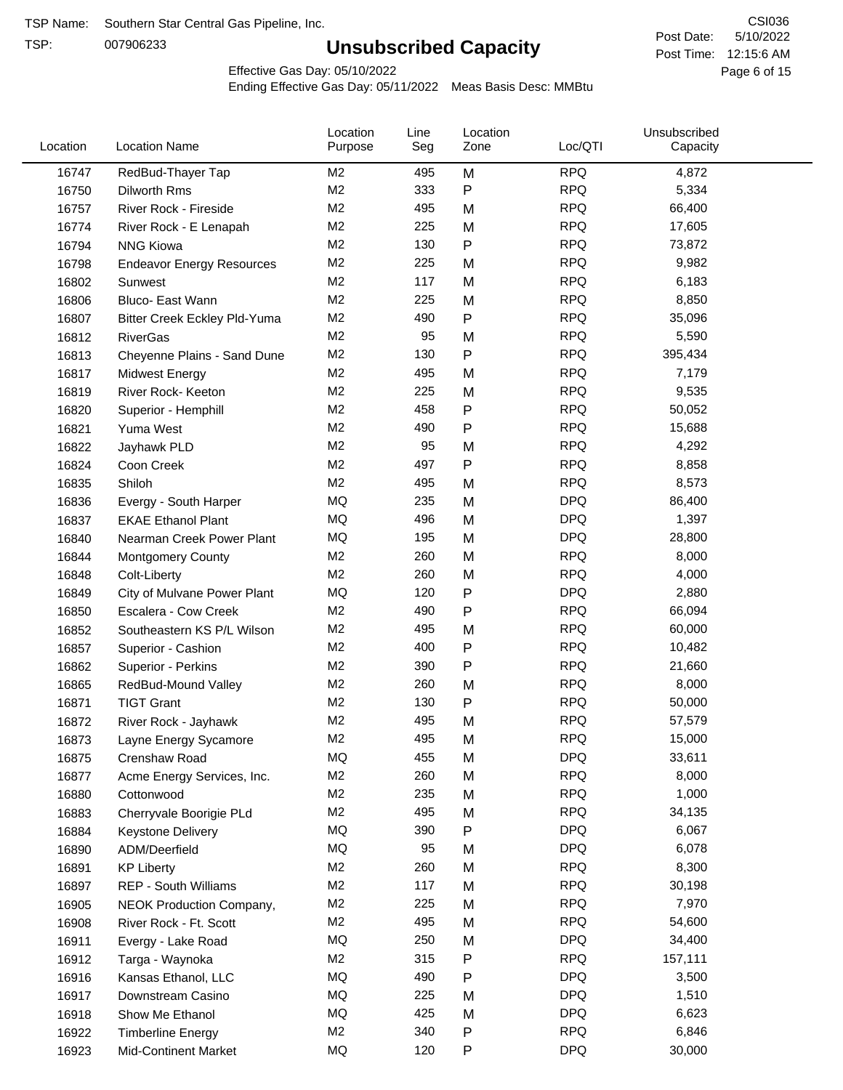TSP:

## **Unsubscribed Capacity**

5/10/2022 Page 6 of 15 Post Time: 12:15:6 AM CSI036 Post Date:

Effective Gas Day: 05/10/2022

| Location | <b>Location Name</b>             | Location<br>Purpose | Line<br>Seg | Location<br>Zone | Loc/QTI    | Unsubscribed<br>Capacity |  |
|----------|----------------------------------|---------------------|-------------|------------------|------------|--------------------------|--|
| 16747    | RedBud-Thayer Tap                | M <sub>2</sub>      | 495         | M                | <b>RPQ</b> | 4,872                    |  |
| 16750    | Dilworth Rms                     | M2                  | 333         | ${\sf P}$        | <b>RPQ</b> | 5,334                    |  |
| 16757    | River Rock - Fireside            | M <sub>2</sub>      | 495         | M                | <b>RPQ</b> | 66,400                   |  |
| 16774    | River Rock - E Lenapah           | M <sub>2</sub>      | 225         | M                | <b>RPQ</b> | 17,605                   |  |
| 16794    | <b>NNG Kiowa</b>                 | M2                  | 130         | P                | <b>RPQ</b> | 73,872                   |  |
| 16798    | <b>Endeavor Energy Resources</b> | M <sub>2</sub>      | 225         | M                | <b>RPQ</b> | 9,982                    |  |
| 16802    | Sunwest                          | M2                  | 117         | M                | <b>RPQ</b> | 6,183                    |  |
| 16806    | Bluco- East Wann                 | M <sub>2</sub>      | 225         | M                | <b>RPQ</b> | 8,850                    |  |
| 16807    | Bitter Creek Eckley Pld-Yuma     | M2                  | 490         | P                | <b>RPQ</b> | 35,096                   |  |
| 16812    | <b>RiverGas</b>                  | M2                  | 95          | M                | <b>RPQ</b> | 5,590                    |  |
| 16813    | Cheyenne Plains - Sand Dune      | M <sub>2</sub>      | 130         | P                | <b>RPQ</b> | 395,434                  |  |
| 16817    | <b>Midwest Energy</b>            | M2                  | 495         | M                | <b>RPQ</b> | 7,179                    |  |
| 16819    | River Rock- Keeton               | M <sub>2</sub>      | 225         | M                | <b>RPQ</b> | 9,535                    |  |
| 16820    | Superior - Hemphill              | M <sub>2</sub>      | 458         | P                | <b>RPQ</b> | 50,052                   |  |
| 16821    | Yuma West                        | M <sub>2</sub>      | 490         | P                | <b>RPQ</b> | 15,688                   |  |
| 16822    | Jayhawk PLD                      | M2                  | 95          | M                | <b>RPQ</b> | 4,292                    |  |
| 16824    | Coon Creek                       | M2                  | 497         | P                | <b>RPQ</b> | 8,858                    |  |
| 16835    | Shiloh                           | M2                  | 495         | M                | <b>RPQ</b> | 8,573                    |  |
| 16836    | Evergy - South Harper            | MQ                  | 235         | M                | <b>DPQ</b> | 86,400                   |  |
| 16837    | <b>EKAE Ethanol Plant</b>        | MQ                  | 496         | M                | <b>DPQ</b> | 1,397                    |  |
| 16840    | Nearman Creek Power Plant        | MQ                  | 195         | M                | <b>DPQ</b> | 28,800                   |  |
| 16844    | <b>Montgomery County</b>         | M2                  | 260         | M                | <b>RPQ</b> | 8,000                    |  |
| 16848    | Colt-Liberty                     | M2                  | 260         | M                | <b>RPQ</b> | 4,000                    |  |
| 16849    | City of Mulvane Power Plant      | MQ                  | 120         | ${\sf P}$        | <b>DPQ</b> | 2,880                    |  |
| 16850    | Escalera - Cow Creek             | M2                  | 490         | $\mathsf{P}$     | <b>RPQ</b> | 66,094                   |  |
| 16852    | Southeastern KS P/L Wilson       | M <sub>2</sub>      | 495         | M                | <b>RPQ</b> | 60,000                   |  |
| 16857    | Superior - Cashion               | M2                  | 400         | P                | <b>RPQ</b> | 10,482                   |  |
| 16862    | Superior - Perkins               | M2                  | 390         | P                | <b>RPQ</b> | 21,660                   |  |
| 16865    | RedBud-Mound Valley              | M2                  | 260         | M                | <b>RPQ</b> | 8,000                    |  |
| 16871    | <b>TIGT Grant</b>                | M <sub>2</sub>      | 130         | P                | <b>RPQ</b> | 50,000                   |  |
| 16872    | River Rock - Jayhawk             | M <sub>2</sub>      | 495         | M                | <b>RPQ</b> | 57,579                   |  |
| 16873    | Layne Energy Sycamore            | M <sub>2</sub>      | 495         | M                | <b>RPQ</b> | 15,000                   |  |
| 16875    | Crenshaw Road                    | MQ                  | 455         | M                | <b>DPQ</b> | 33,611                   |  |
| 16877    | Acme Energy Services, Inc.       | M <sub>2</sub>      | 260         | M                | <b>RPQ</b> | 8,000                    |  |
| 16880    | Cottonwood                       | M <sub>2</sub>      | 235         | M                | <b>RPQ</b> | 1,000                    |  |
| 16883    | Cherryvale Boorigie PLd          | M <sub>2</sub>      | 495         | M                | <b>RPQ</b> | 34,135                   |  |
| 16884    | <b>Keystone Delivery</b>         | MQ                  | 390         | P                | <b>DPQ</b> | 6,067                    |  |
| 16890    | ADM/Deerfield                    | MQ                  | 95          | M                | <b>DPQ</b> | 6,078                    |  |
| 16891    | <b>KP Liberty</b>                | M <sub>2</sub>      | 260         | M                | <b>RPQ</b> | 8,300                    |  |
| 16897    | REP - South Williams             | M <sub>2</sub>      | 117         | M                | <b>RPQ</b> | 30,198                   |  |
| 16905    | <b>NEOK Production Company,</b>  | M <sub>2</sub>      | 225         | M                | <b>RPQ</b> | 7,970                    |  |
| 16908    | River Rock - Ft. Scott           | M <sub>2</sub>      | 495         | M                | <b>RPQ</b> | 54,600                   |  |
| 16911    | Evergy - Lake Road               | MQ                  | 250         | M                | <b>DPQ</b> | 34,400                   |  |
| 16912    | Targa - Waynoka                  | M <sub>2</sub>      | 315         | P                | <b>RPQ</b> | 157,111                  |  |
| 16916    | Kansas Ethanol, LLC              | MQ                  | 490         | P                | <b>DPQ</b> | 3,500                    |  |
| 16917    | Downstream Casino                | MQ                  | 225         | M                | <b>DPQ</b> | 1,510                    |  |
| 16918    | Show Me Ethanol                  | MQ                  | 425         | M                | <b>DPQ</b> | 6,623                    |  |
| 16922    | <b>Timberline Energy</b>         | M <sub>2</sub>      | 340         | P                | <b>RPQ</b> | 6,846                    |  |
| 16923    | <b>Mid-Continent Market</b>      | MQ                  | 120         | P                | <b>DPQ</b> | 30,000                   |  |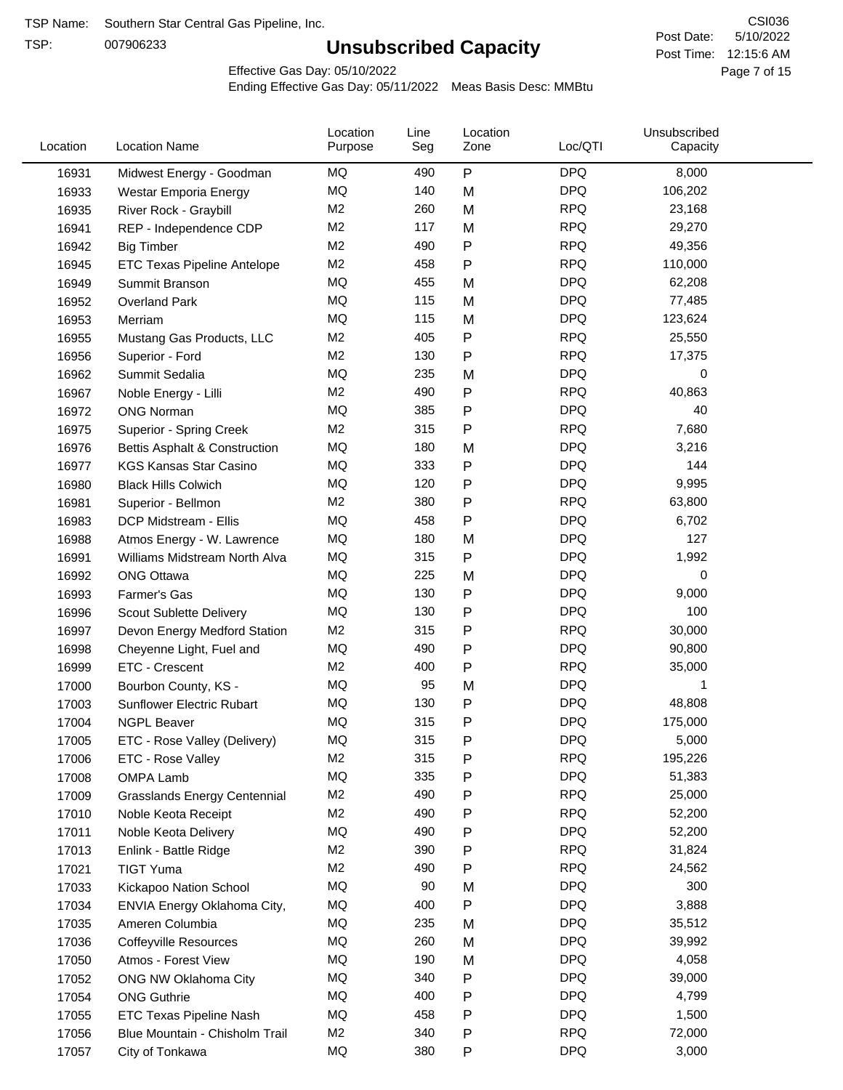TSP:

## **Unsubscribed Capacity**

5/10/2022 Page 7 of 15 Post Time: 12:15:6 AM CSI036 Post Date:

Effective Gas Day: 05/10/2022

| Location | <b>Location Name</b>                | Location<br>Purpose | Line<br>Seg | Location<br>Zone | Loc/QTI    | Unsubscribed<br>Capacity |  |
|----------|-------------------------------------|---------------------|-------------|------------------|------------|--------------------------|--|
| 16931    | Midwest Energy - Goodman            | ΜQ                  | 490         | P                | <b>DPQ</b> | 8,000                    |  |
| 16933    | Westar Emporia Energy               | MQ                  | 140         | M                | <b>DPQ</b> | 106,202                  |  |
| 16935    | River Rock - Graybill               | M <sub>2</sub>      | 260         | M                | <b>RPQ</b> | 23,168                   |  |
| 16941    | REP - Independence CDP              | M <sub>2</sub>      | 117         | M                | <b>RPQ</b> | 29,270                   |  |
| 16942    | <b>Big Timber</b>                   | M <sub>2</sub>      | 490         | $\mathsf{P}$     | <b>RPQ</b> | 49,356                   |  |
| 16945    | ETC Texas Pipeline Antelope         | M <sub>2</sub>      | 458         | $\mathsf{P}$     | <b>RPQ</b> | 110,000                  |  |
| 16949    | Summit Branson                      | MQ                  | 455         | M                | <b>DPQ</b> | 62,208                   |  |
| 16952    | <b>Overland Park</b>                | MQ                  | 115         | M                | <b>DPQ</b> | 77,485                   |  |
| 16953    | Merriam                             | MQ                  | 115         | M                | <b>DPQ</b> | 123,624                  |  |
| 16955    | Mustang Gas Products, LLC           | M <sub>2</sub>      | 405         | $\mathsf{P}$     | <b>RPQ</b> | 25,550                   |  |
| 16956    | Superior - Ford                     | M <sub>2</sub>      | 130         | $\mathsf{P}$     | <b>RPQ</b> | 17,375                   |  |
| 16962    | Summit Sedalia                      | <b>MQ</b>           | 235         | M                | <b>DPQ</b> | 0                        |  |
| 16967    | Noble Energy - Lilli                | M <sub>2</sub>      | 490         | P                | <b>RPQ</b> | 40,863                   |  |
| 16972    | <b>ONG Norman</b>                   | MQ                  | 385         | $\mathsf{P}$     | <b>DPQ</b> | 40                       |  |
| 16975    | Superior - Spring Creek             | M <sub>2</sub>      | 315         | $\mathsf{P}$     | <b>RPQ</b> | 7,680                    |  |
| 16976    | Bettis Asphalt & Construction       | MQ                  | 180         | M                | <b>DPQ</b> | 3,216                    |  |
| 16977    | <b>KGS Kansas Star Casino</b>       | MQ                  | 333         | P                | <b>DPQ</b> | 144                      |  |
| 16980    | <b>Black Hills Colwich</b>          | MQ                  | 120         | P                | <b>DPQ</b> | 9,995                    |  |
| 16981    | Superior - Bellmon                  | M <sub>2</sub>      | 380         | P                | <b>RPQ</b> | 63,800                   |  |
| 16983    | DCP Midstream - Ellis               | MQ                  | 458         | $\mathsf{P}$     | <b>DPQ</b> | 6,702                    |  |
| 16988    | Atmos Energy - W. Lawrence          | MQ                  | 180         | M                | <b>DPQ</b> | 127                      |  |
| 16991    | Williams Midstream North Alva       | MQ                  | 315         | $\mathsf{P}$     | <b>DPQ</b> | 1,992                    |  |
| 16992    | <b>ONG Ottawa</b>                   | MQ                  | 225         | M                | <b>DPQ</b> | 0                        |  |
| 16993    | Farmer's Gas                        | MQ                  | 130         | P                | <b>DPQ</b> | 9,000                    |  |
| 16996    | Scout Sublette Delivery             | MQ                  | 130         | P                | <b>DPQ</b> | 100                      |  |
| 16997    | Devon Energy Medford Station        | M <sub>2</sub>      | 315         | P                | <b>RPQ</b> | 30,000                   |  |
| 16998    | Cheyenne Light, Fuel and            | MQ                  | 490         | P                | <b>DPQ</b> | 90,800                   |  |
| 16999    | ETC - Crescent                      | M <sub>2</sub>      | 400         | $\mathsf{P}$     | <b>RPQ</b> | 35,000                   |  |
| 17000    | Bourbon County, KS -                | MQ                  | 95          | M                | <b>DPQ</b> |                          |  |
| 17003    | Sunflower Electric Rubart           | MQ                  | 130         | $\mathsf{P}$     | <b>DPQ</b> | 48,808                   |  |
| 17004    | <b>NGPL Beaver</b>                  | MQ                  | 315         | P                | <b>DPQ</b> | 175,000                  |  |
| 17005    | ETC - Rose Valley (Delivery)        | MQ                  | 315         | P                | <b>DPQ</b> | 5,000                    |  |
| 17006    | ETC - Rose Valley                   | M <sub>2</sub>      | 315         | P                | <b>RPQ</b> | 195,226                  |  |
| 17008    | OMPA Lamb                           | MQ                  | 335         | ${\sf P}$        | <b>DPQ</b> | 51,383                   |  |
| 17009    | <b>Grasslands Energy Centennial</b> | M <sub>2</sub>      | 490         | P                | <b>RPQ</b> | 25,000                   |  |
| 17010    | Noble Keota Receipt                 | M <sub>2</sub>      | 490         | P                | <b>RPQ</b> | 52,200                   |  |
| 17011    | Noble Keota Delivery                | MQ                  | 490         | P                | <b>DPQ</b> | 52,200                   |  |
| 17013    | Enlink - Battle Ridge               | M <sub>2</sub>      | 390         | P                | <b>RPQ</b> | 31,824                   |  |
| 17021    | <b>TIGT Yuma</b>                    | M <sub>2</sub>      | 490         | P                | <b>RPQ</b> | 24,562                   |  |
| 17033    | Kickapoo Nation School              | MQ                  | 90          | M                | <b>DPQ</b> | 300                      |  |
| 17034    | ENVIA Energy Oklahoma City,         | MQ                  | 400         | P                | <b>DPQ</b> | 3,888                    |  |
| 17035    | Ameren Columbia                     | MQ                  | 235         | M                | <b>DPQ</b> | 35,512                   |  |
| 17036    | <b>Coffeyville Resources</b>        | MQ                  | 260         | M                | <b>DPQ</b> | 39,992                   |  |
| 17050    | Atmos - Forest View                 | MQ                  | 190         | M                | <b>DPQ</b> | 4,058                    |  |
| 17052    | ONG NW Oklahoma City                | MQ                  | 340         | P                | <b>DPQ</b> | 39,000                   |  |
| 17054    | <b>ONG Guthrie</b>                  | MQ                  | 400         | P                | <b>DPQ</b> | 4,799                    |  |
| 17055    | ETC Texas Pipeline Nash             | MQ                  | 458         | P                | <b>DPQ</b> | 1,500                    |  |
| 17056    | Blue Mountain - Chisholm Trail      | M <sub>2</sub>      | 340         | P                | <b>RPQ</b> | 72,000                   |  |
| 17057    | City of Tonkawa                     | MQ                  | 380         | P                | <b>DPQ</b> | 3,000                    |  |
|          |                                     |                     |             |                  |            |                          |  |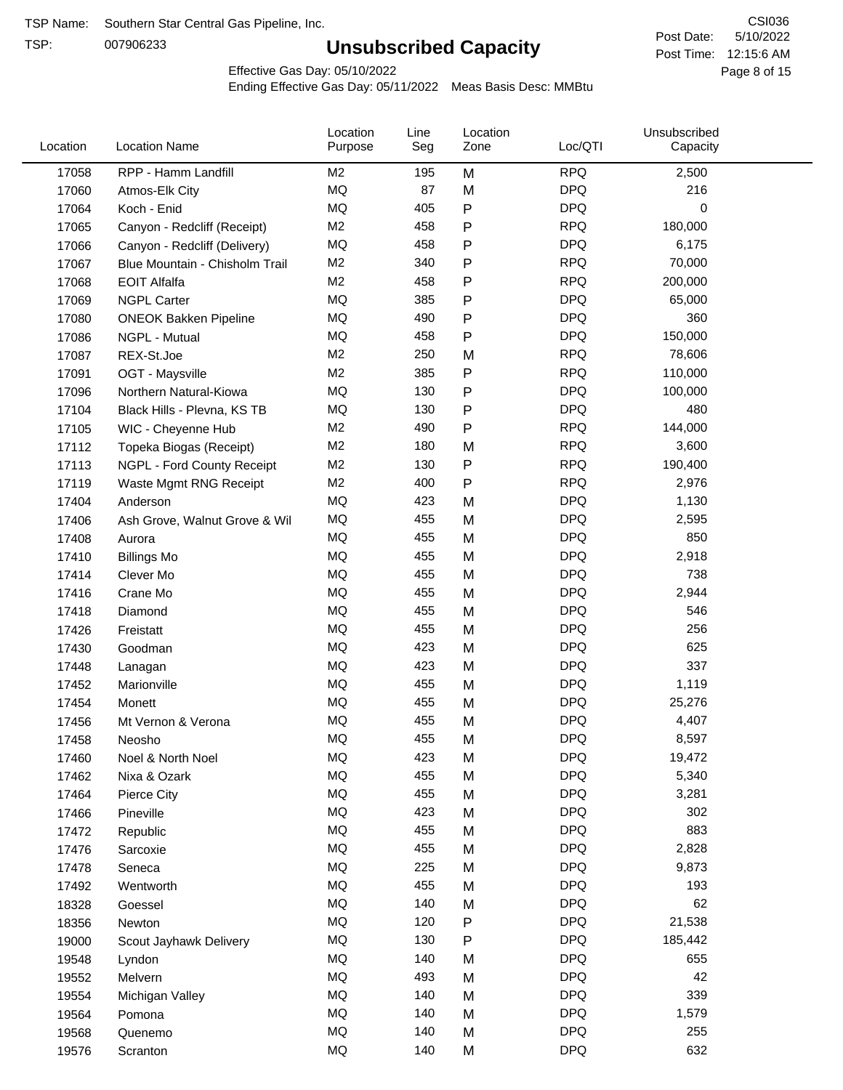TSP:

## **Unsubscribed Capacity**

5/10/2022 Page 8 of 15 Post Time: 12:15:6 AM CSI036 Post Date:

Effective Gas Day: 05/10/2022

| Location | <b>Location Name</b>           | Location<br>Purpose | Line<br>Seg | Location<br>Zone | Loc/QTI    | Unsubscribed<br>Capacity |  |
|----------|--------------------------------|---------------------|-------------|------------------|------------|--------------------------|--|
| 17058    | RPP - Hamm Landfill            | M2                  | 195         | M                | <b>RPQ</b> | 2,500                    |  |
| 17060    | Atmos-Elk City                 | MQ                  | 87          | M                | <b>DPQ</b> | 216                      |  |
| 17064    | Koch - Enid                    | MQ                  | 405         | P                | <b>DPQ</b> | 0                        |  |
| 17065    | Canyon - Redcliff (Receipt)    | M <sub>2</sub>      | 458         | P                | <b>RPQ</b> | 180,000                  |  |
| 17066    | Canyon - Redcliff (Delivery)   | MQ                  | 458         | P                | <b>DPQ</b> | 6,175                    |  |
| 17067    | Blue Mountain - Chisholm Trail | M <sub>2</sub>      | 340         | P                | <b>RPQ</b> | 70,000                   |  |
| 17068    | <b>EOIT Alfalfa</b>            | M <sub>2</sub>      | 458         | Ρ                | <b>RPQ</b> | 200,000                  |  |
| 17069    | <b>NGPL Carter</b>             | MQ                  | 385         | P                | <b>DPQ</b> | 65,000                   |  |
| 17080    | <b>ONEOK Bakken Pipeline</b>   | MQ                  | 490         | P                | <b>DPQ</b> | 360                      |  |
| 17086    | NGPL - Mutual                  | <b>MQ</b>           | 458         | P                | <b>DPQ</b> | 150,000                  |  |
| 17087    | REX-St.Joe                     | M <sub>2</sub>      | 250         | M                | <b>RPQ</b> | 78,606                   |  |
| 17091    | OGT - Maysville                | M <sub>2</sub>      | 385         | P                | <b>RPQ</b> | 110,000                  |  |
| 17096    | Northern Natural-Kiowa         | MQ                  | 130         | P                | <b>DPQ</b> | 100,000                  |  |
| 17104    | Black Hills - Plevna, KS TB    | MQ                  | 130         | Ρ                | <b>DPQ</b> | 480                      |  |
| 17105    | WIC - Cheyenne Hub             | M <sub>2</sub>      | 490         | P                | <b>RPQ</b> | 144,000                  |  |
| 17112    | Topeka Biogas (Receipt)        | M <sub>2</sub>      | 180         | M                | <b>RPQ</b> | 3,600                    |  |
| 17113    | NGPL - Ford County Receipt     | M <sub>2</sub>      | 130         | P                | <b>RPQ</b> | 190,400                  |  |
| 17119    | Waste Mgmt RNG Receipt         | M2                  | 400         | P                | <b>RPQ</b> | 2,976                    |  |
| 17404    | Anderson                       | <b>MQ</b>           | 423         | M                | <b>DPQ</b> | 1,130                    |  |
| 17406    | Ash Grove, Walnut Grove & Wil  | MQ                  | 455         | M                | <b>DPQ</b> | 2,595                    |  |
| 17408    | Aurora                         | MQ                  | 455         | M                | <b>DPQ</b> | 850                      |  |
| 17410    | <b>Billings Mo</b>             | <b>MQ</b>           | 455         | M                | <b>DPQ</b> | 2,918                    |  |
| 17414    | Clever Mo                      | <b>MQ</b>           | 455         | M                | <b>DPQ</b> | 738                      |  |
| 17416    | Crane Mo                       | <b>MQ</b>           | 455         | M                | <b>DPQ</b> | 2,944                    |  |
| 17418    | Diamond                        | <b>MQ</b>           | 455         | M                | <b>DPQ</b> | 546                      |  |
| 17426    | Freistatt                      | MQ                  | 455         | M                | <b>DPQ</b> | 256                      |  |
| 17430    | Goodman                        | <b>MQ</b>           | 423         | M                | <b>DPQ</b> | 625                      |  |
| 17448    | Lanagan                        | <b>MQ</b>           | 423         | M                | <b>DPQ</b> | 337                      |  |
| 17452    | Marionville                    | <b>MQ</b>           | 455         | M                | <b>DPQ</b> | 1,119                    |  |
| 17454    | Monett                         | MQ                  | 455         | M                | <b>DPQ</b> | 25,276                   |  |
| 17456    | Mt Vernon & Verona             | <b>MQ</b>           | 455         | M                | <b>DPQ</b> | 4,407                    |  |
| 17458    | Neosho                         | MQ                  | 455         | M                | <b>DPQ</b> | 8,597                    |  |
| 17460    | Noel & North Noel              | MQ                  | 423         | M                | <b>DPQ</b> | 19,472                   |  |
| 17462    | Nixa & Ozark                   | $\sf{MQ}$           | 455         | M                | <b>DPQ</b> | 5,340                    |  |
| 17464    | Pierce City                    | MQ                  | 455         | M                | <b>DPQ</b> | 3,281                    |  |
| 17466    | Pineville                      | MQ                  | 423         | M                | <b>DPQ</b> | 302                      |  |
| 17472    | Republic                       | MQ                  | 455         | M                | <b>DPQ</b> | 883                      |  |
| 17476    | Sarcoxie                       | MQ                  | 455         | M                | <b>DPQ</b> | 2,828                    |  |
| 17478    | Seneca                         | MQ                  | 225         | M                | <b>DPQ</b> | 9,873                    |  |
| 17492    | Wentworth                      | MQ                  | 455         | M                | <b>DPQ</b> | 193                      |  |
| 18328    | Goessel                        | MQ                  | 140         | M                | <b>DPQ</b> | 62                       |  |
| 18356    | Newton                         | MQ                  | 120         | P                | <b>DPQ</b> | 21,538                   |  |
| 19000    | Scout Jayhawk Delivery         | $\sf{MQ}$           | 130         | P                | <b>DPQ</b> | 185,442                  |  |
| 19548    | Lyndon                         | MQ                  | 140         | M                | <b>DPQ</b> | 655                      |  |
| 19552    | Melvern                        | MQ                  | 493         | M                | <b>DPQ</b> | 42                       |  |
| 19554    | Michigan Valley                | MQ                  | 140         | M                | <b>DPQ</b> | 339                      |  |
| 19564    | Pomona                         | MQ                  | 140         | M                | <b>DPQ</b> | 1,579                    |  |
| 19568    | Quenemo                        | MQ                  | 140         | M                | <b>DPQ</b> | 255                      |  |
| 19576    | Scranton                       | MQ                  | 140         | M                | <b>DPQ</b> | 632                      |  |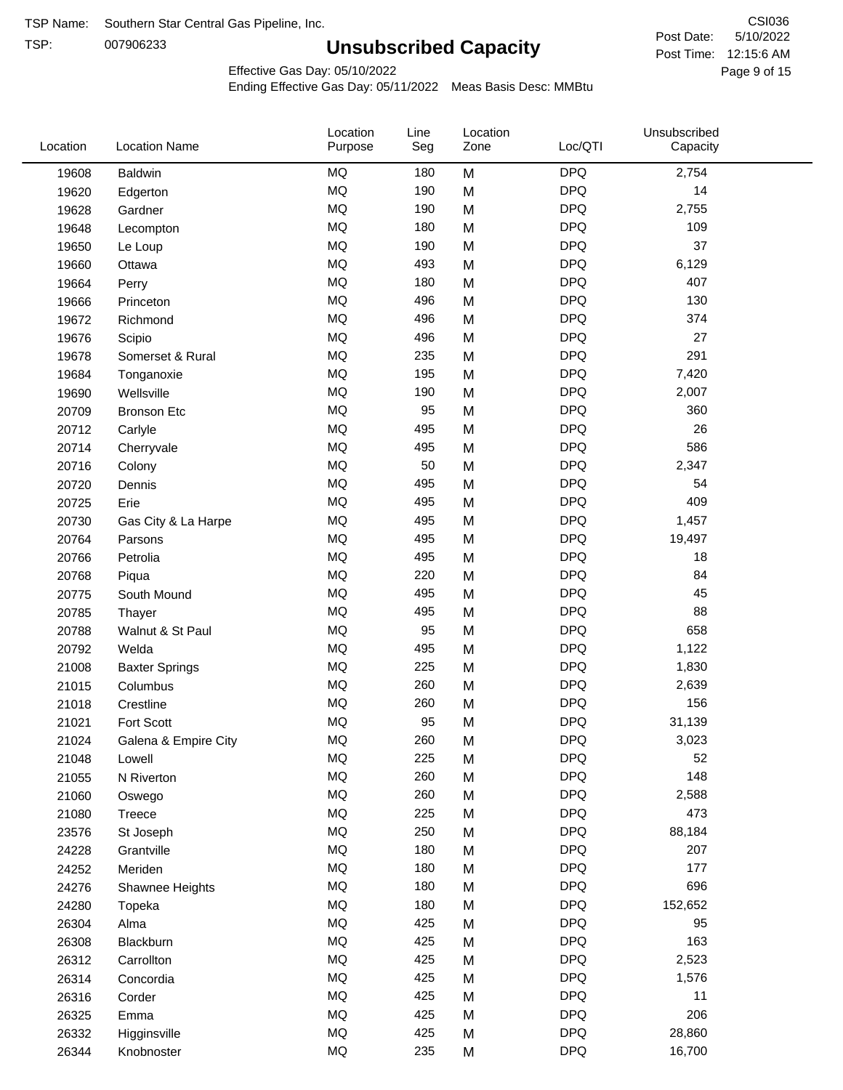TSP:

## **Unsubscribed Capacity**

5/10/2022 Page 9 of 15 Post Time: 12:15:6 AM CSI036 Post Date:

Effective Gas Day: 05/10/2022

| Location | <b>Location Name</b>  | Location<br>Purpose | Line<br>Seg | Location<br>Zone | Loc/QTI    | Unsubscribed<br>Capacity |  |
|----------|-----------------------|---------------------|-------------|------------------|------------|--------------------------|--|
| 19608    | <b>Baldwin</b>        | <b>MQ</b>           | 180         | M                | <b>DPQ</b> | 2,754                    |  |
| 19620    | Edgerton              | MQ                  | 190         | M                | <b>DPQ</b> | 14                       |  |
| 19628    | Gardner               | MQ                  | 190         | M                | <b>DPQ</b> | 2,755                    |  |
| 19648    | Lecompton             | <b>MQ</b>           | 180         | M                | <b>DPQ</b> | 109                      |  |
| 19650    | Le Loup               | <b>MQ</b>           | 190         | M                | <b>DPQ</b> | 37                       |  |
| 19660    | Ottawa                | <b>MQ</b>           | 493         | M                | <b>DPQ</b> | 6,129                    |  |
| 19664    | Perry                 | <b>MQ</b>           | 180         | M                | <b>DPQ</b> | 407                      |  |
| 19666    | Princeton             | MQ                  | 496         | M                | <b>DPQ</b> | 130                      |  |
| 19672    | Richmond              | <b>MQ</b>           | 496         | M                | <b>DPQ</b> | 374                      |  |
| 19676    | Scipio                | <b>MQ</b>           | 496         | M                | <b>DPQ</b> | 27                       |  |
| 19678    | Somerset & Rural      | MQ                  | 235         | M                | <b>DPQ</b> | 291                      |  |
| 19684    | Tonganoxie            | <b>MQ</b>           | 195         | M                | <b>DPQ</b> | 7,420                    |  |
| 19690    | Wellsville            | <b>MQ</b>           | 190         | M                | <b>DPQ</b> | 2,007                    |  |
| 20709    | <b>Bronson Etc</b>    | MQ                  | 95          | M                | <b>DPQ</b> | 360                      |  |
| 20712    | Carlyle               | <b>MQ</b>           | 495         | M                | <b>DPQ</b> | 26                       |  |
| 20714    | Cherryvale            | MQ                  | 495         | M                | <b>DPQ</b> | 586                      |  |
| 20716    | Colony                | MQ                  | 50          | M                | <b>DPQ</b> | 2,347                    |  |
| 20720    | Dennis                | <b>MQ</b>           | 495         | M                | <b>DPQ</b> | 54                       |  |
| 20725    | Erie                  | <b>MQ</b>           | 495         | M                | <b>DPQ</b> | 409                      |  |
| 20730    | Gas City & La Harpe   | MQ                  | 495         | M                | <b>DPQ</b> | 1,457                    |  |
| 20764    | Parsons               | <b>MQ</b>           | 495         | M                | <b>DPQ</b> | 19,497                   |  |
| 20766    | Petrolia              | <b>MQ</b>           | 495         | M                | <b>DPQ</b> | 18                       |  |
| 20768    | Piqua                 | <b>MQ</b>           | 220         | M                | <b>DPQ</b> | 84                       |  |
| 20775    | South Mound           | <b>MQ</b>           | 495         | M                | <b>DPQ</b> | 45                       |  |
| 20785    | Thayer                | <b>MQ</b>           | 495         | M                | <b>DPQ</b> | 88                       |  |
| 20788    | Walnut & St Paul      | MQ                  | 95          | M                | <b>DPQ</b> | 658                      |  |
| 20792    | Welda                 | <b>MQ</b>           | 495         | M                | <b>DPQ</b> | 1,122                    |  |
| 21008    | <b>Baxter Springs</b> | MQ                  | 225         | M                | <b>DPQ</b> | 1,830                    |  |
| 21015    | Columbus              | <b>MQ</b>           | 260         | M                | <b>DPQ</b> | 2,639                    |  |
| 21018    | Crestline             | <b>MQ</b>           | 260         | M                | <b>DPQ</b> | 156                      |  |
| 21021    | Fort Scott            | <b>MQ</b>           | 95          | M                | <b>DPQ</b> | 31,139                   |  |
| 21024    | Galena & Empire City  | MQ                  | 260         | M                | <b>DPQ</b> | 3,023                    |  |
| 21048    | Lowell                | MQ                  | 225         | M                | <b>DPQ</b> | 52                       |  |
| 21055    | N Riverton            | $\sf{MQ}$           | 260         | M                | <b>DPQ</b> | 148                      |  |
| 21060    | Oswego                | MQ                  | 260         | M                | <b>DPQ</b> | 2,588                    |  |
| 21080    | <b>Treece</b>         | MQ                  | 225         | M                | <b>DPQ</b> | 473                      |  |
| 23576    | St Joseph             | MQ                  | 250         | M                | <b>DPQ</b> | 88,184                   |  |
| 24228    | Grantville            | MQ                  | 180         | M                | <b>DPQ</b> | 207                      |  |
| 24252    | Meriden               | $\sf{MQ}$           | 180         | M                | <b>DPQ</b> | 177                      |  |
| 24276    | Shawnee Heights       | $\sf{MQ}$           | 180         | M                | <b>DPQ</b> | 696                      |  |
| 24280    | Topeka                | MQ                  | 180         | M                | <b>DPQ</b> | 152,652                  |  |
| 26304    | Alma                  | MQ                  | 425         | M                | <b>DPQ</b> | 95                       |  |
| 26308    | Blackburn             | MQ                  | 425         | M                | <b>DPQ</b> | 163                      |  |
| 26312    | Carrollton            | MQ                  | 425         | M                | <b>DPQ</b> | 2,523                    |  |
| 26314    | Concordia             | $\sf{MQ}$           | 425         | M                | <b>DPQ</b> | 1,576                    |  |
| 26316    | Corder                | MQ                  | 425         | M                | <b>DPQ</b> | 11                       |  |
| 26325    | Emma                  | MQ                  | 425         | M                | <b>DPQ</b> | 206                      |  |
| 26332    | Higginsville          | $\sf{MQ}$           | 425         | M                | <b>DPQ</b> | 28,860                   |  |
| 26344    | Knobnoster            | $\sf{MQ}$           | 235         | M                | <b>DPQ</b> | 16,700                   |  |
|          |                       |                     |             |                  |            |                          |  |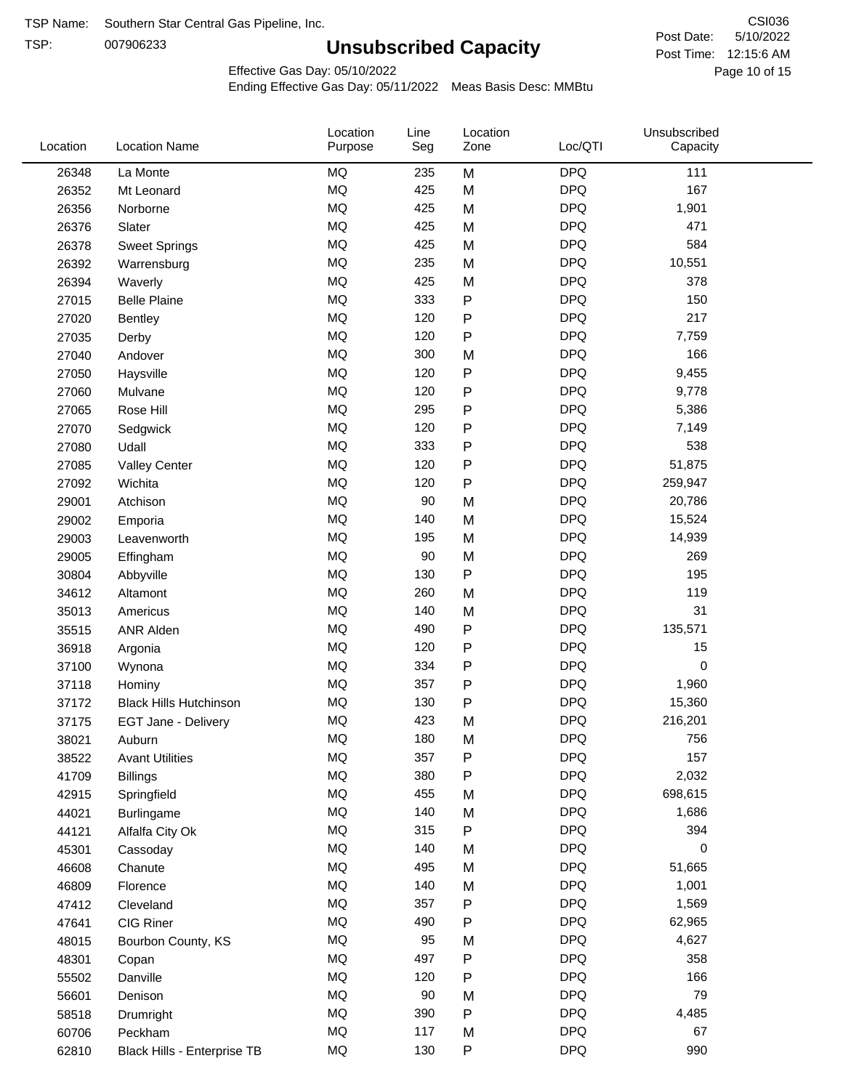TSP:

## **Unsubscribed Capacity**

5/10/2022 Page 10 of 15 Post Time: 12:15:6 AM CSI036 Post Date:

Effective Gas Day: 05/10/2022

| Location | <b>Location Name</b>          | Location<br>Purpose | Line<br>Seg | Location<br>Zone | Loc/QTI    | Unsubscribed<br>Capacity |  |
|----------|-------------------------------|---------------------|-------------|------------------|------------|--------------------------|--|
| 26348    | La Monte                      | <b>MQ</b>           | 235         | M                | <b>DPQ</b> | 111                      |  |
| 26352    | Mt Leonard                    | MQ                  | 425         | M                | <b>DPQ</b> | 167                      |  |
| 26356    | Norborne                      | <b>MQ</b>           | 425         | M                | <b>DPQ</b> | 1,901                    |  |
| 26376    | Slater                        | <b>MQ</b>           | 425         | M                | <b>DPQ</b> | 471                      |  |
| 26378    | <b>Sweet Springs</b>          | <b>MQ</b>           | 425         | M                | <b>DPQ</b> | 584                      |  |
| 26392    | Warrensburg                   | <b>MQ</b>           | 235         | M                | <b>DPQ</b> | 10,551                   |  |
| 26394    | Waverly                       | MQ                  | 425         | M                | <b>DPQ</b> | 378                      |  |
| 27015    | <b>Belle Plaine</b>           | MQ                  | 333         | P                | <b>DPQ</b> | 150                      |  |
| 27020    | Bentley                       | MQ                  | 120         | P                | <b>DPQ</b> | 217                      |  |
| 27035    | Derby                         | <b>MQ</b>           | 120         | Ρ                | <b>DPQ</b> | 7,759                    |  |
| 27040    | Andover                       | MQ                  | 300         | M                | <b>DPQ</b> | 166                      |  |
| 27050    | Haysville                     | <b>MQ</b>           | 120         | P                | <b>DPQ</b> | 9,455                    |  |
| 27060    | Mulvane                       | MQ                  | 120         | P                | <b>DPQ</b> | 9,778                    |  |
| 27065    | Rose Hill                     | <b>MQ</b>           | 295         | P                | <b>DPQ</b> | 5,386                    |  |
| 27070    | Sedgwick                      | <b>MQ</b>           | 120         | P                | <b>DPQ</b> | 7,149                    |  |
| 27080    | Udall                         | <b>MQ</b>           | 333         | P                | <b>DPQ</b> | 538                      |  |
| 27085    | <b>Valley Center</b>          | <b>MQ</b>           | 120         | P                | <b>DPQ</b> | 51,875                   |  |
| 27092    | Wichita                       | <b>MQ</b>           | 120         | P                | <b>DPQ</b> | 259,947                  |  |
| 29001    | Atchison                      | <b>MQ</b>           | 90          | M                | <b>DPQ</b> | 20,786                   |  |
| 29002    | Emporia                       | <b>MQ</b>           | 140         | M                | <b>DPQ</b> | 15,524                   |  |
| 29003    | Leavenworth                   | <b>MQ</b>           | 195         | M                | <b>DPQ</b> | 14,939                   |  |
| 29005    | Effingham                     | <b>MQ</b>           | 90          | M                | <b>DPQ</b> | 269                      |  |
| 30804    | Abbyville                     | <b>MQ</b>           | 130         | P                | <b>DPQ</b> | 195                      |  |
| 34612    | Altamont                      | <b>MQ</b>           | 260         | M                | <b>DPQ</b> | 119                      |  |
| 35013    | Americus                      | <b>MQ</b>           | 140         | M                | <b>DPQ</b> | 31                       |  |
| 35515    | <b>ANR Alden</b>              | <b>MQ</b>           | 490         | P                | <b>DPQ</b> | 135,571                  |  |
| 36918    | Argonia                       | <b>MQ</b>           | 120         | P                | <b>DPQ</b> | 15                       |  |
| 37100    | Wynona                        | <b>MQ</b>           | 334         | P                | <b>DPQ</b> | 0                        |  |
| 37118    | Hominy                        | <b>MQ</b>           | 357         | P                | <b>DPQ</b> | 1,960                    |  |
| 37172    | <b>Black Hills Hutchinson</b> | <b>MQ</b>           | 130         | P                | <b>DPQ</b> | 15,360                   |  |
| 37175    | EGT Jane - Delivery           | <b>MQ</b>           | 423         | M                | <b>DPQ</b> | 216,201                  |  |
| 38021    | Auburn                        | MQ                  | 180         | м                | <b>DPQ</b> | 756                      |  |
| 38522    | <b>Avant Utilities</b>        | MQ                  | 357         | P                | <b>DPQ</b> | 157                      |  |
| 41709    | <b>Billings</b>               | MQ                  | 380         | P                | <b>DPQ</b> | 2,032                    |  |
| 42915    | Springfield                   | MQ                  | 455         | M                | <b>DPQ</b> | 698,615                  |  |
| 44021    | <b>Burlingame</b>             | <b>MQ</b>           | 140         | M                | <b>DPQ</b> | 1,686                    |  |
| 44121    | Alfalfa City Ok               | <b>MQ</b>           | 315         | P                | <b>DPQ</b> | 394                      |  |
| 45301    | Cassoday                      | MQ                  | 140         | M                | <b>DPQ</b> | 0                        |  |
| 46608    | Chanute                       | MQ                  | 495         | M                | <b>DPQ</b> | 51,665                   |  |
| 46809    | Florence                      | <b>MQ</b>           | 140         | M                | <b>DPQ</b> | 1,001                    |  |
| 47412    | Cleveland                     | MQ                  | 357         | Ρ                | <b>DPQ</b> | 1,569                    |  |
| 47641    | CIG Riner                     | <b>MQ</b>           | 490         | Ρ                | <b>DPQ</b> | 62,965                   |  |
| 48015    | Bourbon County, KS            | $\sf{MQ}$           | 95          | M                | <b>DPQ</b> | 4,627                    |  |
| 48301    | Copan                         | <b>MQ</b>           | 497         | Ρ                | <b>DPQ</b> | 358                      |  |
| 55502    | Danville                      | <b>MQ</b>           | 120         | P                | <b>DPQ</b> | 166                      |  |
| 56601    | Denison                       | <b>MQ</b>           | 90          | M                | <b>DPQ</b> | 79                       |  |
| 58518    | Drumright                     | <b>MQ</b>           | 390         | P                | <b>DPQ</b> | 4,485                    |  |
| 60706    | Peckham                       | <b>MQ</b>           | 117         | M                | <b>DPQ</b> | 67                       |  |
| 62810    | Black Hills - Enterprise TB   | <b>MQ</b>           | 130         | P                | <b>DPQ</b> | 990                      |  |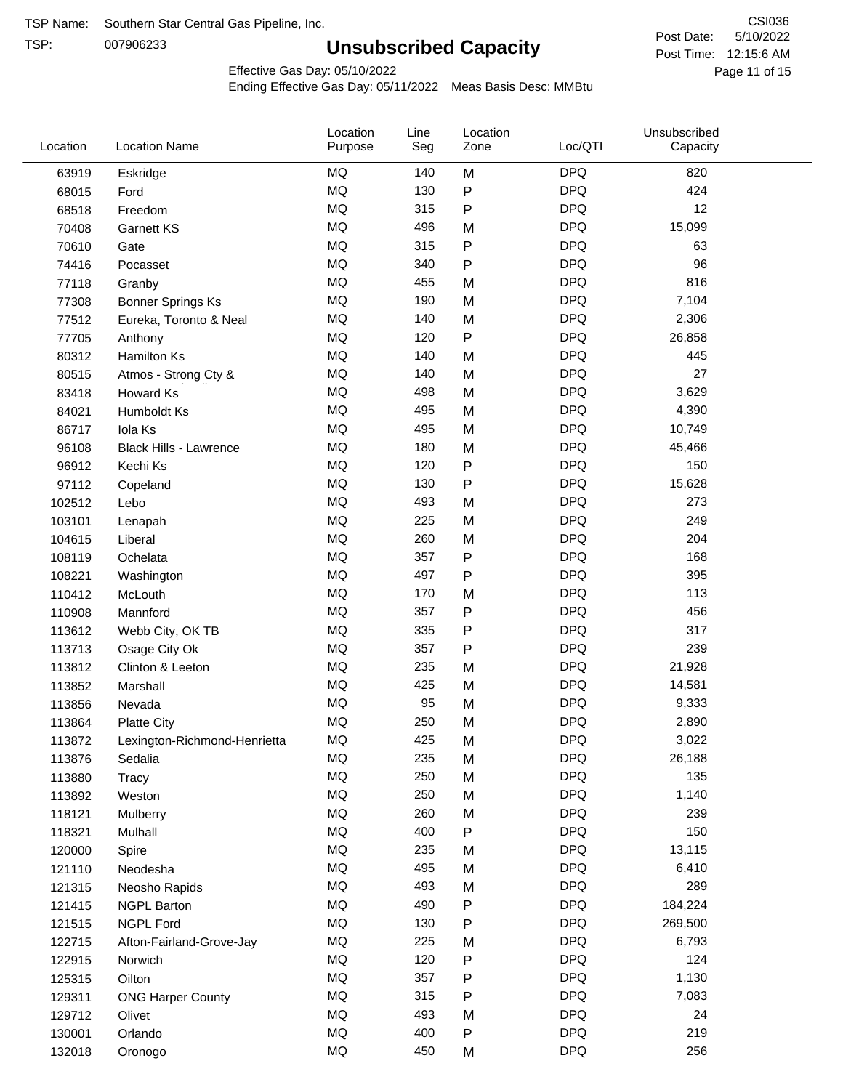TSP:

## **Unsubscribed Capacity**

5/10/2022 Page 11 of 15 Post Time: 12:15:6 AM CSI036 Post Date:

Effective Gas Day: 05/10/2022

| Location | <b>Location Name</b>          | Location<br>Purpose | Line<br>Seg | Location<br>Zone | Loc/QTI    | Unsubscribed<br>Capacity |  |
|----------|-------------------------------|---------------------|-------------|------------------|------------|--------------------------|--|
| 63919    | Eskridge                      | MQ                  | 140         | M                | <b>DPQ</b> | 820                      |  |
| 68015    | Ford                          | MQ                  | 130         | P                | <b>DPQ</b> | 424                      |  |
| 68518    | Freedom                       | <b>MQ</b>           | 315         | P                | <b>DPQ</b> | 12                       |  |
| 70408    | <b>Garnett KS</b>             | MQ                  | 496         | M                | <b>DPQ</b> | 15,099                   |  |
| 70610    | Gate                          | <b>MQ</b>           | 315         | P                | <b>DPQ</b> | 63                       |  |
| 74416    | Pocasset                      | MQ                  | 340         | P                | <b>DPQ</b> | 96                       |  |
| 77118    | Granby                        | MQ                  | 455         | M                | <b>DPQ</b> | 816                      |  |
| 77308    | <b>Bonner Springs Ks</b>      | MQ                  | 190         | M                | <b>DPQ</b> | 7,104                    |  |
| 77512    | Eureka, Toronto & Neal        | MQ                  | 140         | M                | <b>DPQ</b> | 2,306                    |  |
| 77705    | Anthony                       | <b>MQ</b>           | 120         | P                | <b>DPQ</b> | 26,858                   |  |
| 80312    | Hamilton Ks                   | MQ                  | 140         | M                | <b>DPQ</b> | 445                      |  |
| 80515    | Atmos - Strong Cty &          | MQ                  | 140         | M                | <b>DPQ</b> | 27                       |  |
| 83418    | Howard Ks                     | MQ                  | 498         | M                | <b>DPQ</b> | 3,629                    |  |
| 84021    | Humboldt Ks                   | MQ                  | 495         | M                | <b>DPQ</b> | 4,390                    |  |
| 86717    | Iola Ks                       | MQ                  | 495         | M                | <b>DPQ</b> | 10,749                   |  |
| 96108    | <b>Black Hills - Lawrence</b> | MQ                  | 180         | M                | <b>DPQ</b> | 45,466                   |  |
| 96912    | Kechi Ks                      | <b>MQ</b>           | 120         | P                | <b>DPQ</b> | 150                      |  |
| 97112    | Copeland                      | <b>MQ</b>           | 130         | P                | <b>DPQ</b> | 15,628                   |  |
| 102512   | Lebo                          | <b>MQ</b>           | 493         | M                | <b>DPQ</b> | 273                      |  |
| 103101   | Lenapah                       | MQ                  | 225         | M                | <b>DPQ</b> | 249                      |  |
| 104615   | Liberal                       | MQ                  | 260         | M                | <b>DPQ</b> | 204                      |  |
| 108119   | Ochelata                      | MQ                  | 357         | P                | <b>DPQ</b> | 168                      |  |
| 108221   | Washington                    | MQ                  | 497         | P                | <b>DPQ</b> | 395                      |  |
| 110412   | McLouth                       | MQ                  | 170         | M                | <b>DPQ</b> | 113                      |  |
| 110908   | Mannford                      | MQ                  | 357         | P                | <b>DPQ</b> | 456                      |  |
| 113612   | Webb City, OK TB              | MQ                  | 335         | P                | <b>DPQ</b> | 317                      |  |
| 113713   | Osage City Ok                 | MQ                  | 357         | P                | <b>DPQ</b> | 239                      |  |
| 113812   | Clinton & Leeton              | MQ                  | 235         | M                | <b>DPQ</b> | 21,928                   |  |
| 113852   | Marshall                      | MQ                  | 425         | M                | <b>DPQ</b> | 14,581                   |  |
| 113856   | Nevada                        | MQ                  | 95          | M                | <b>DPQ</b> | 9,333                    |  |
| 113864   | <b>Platte City</b>            | <b>MQ</b>           | 250         | M                | <b>DPQ</b> | 2,890                    |  |
| 113872   | Lexington-Richmond-Henrietta  | MQ                  | 425         | M                | <b>DPQ</b> | 3,022                    |  |
| 113876   | Sedalia                       | ΜQ                  | 235         | M                | <b>DPQ</b> | 26,188                   |  |
| 113880   | Tracy                         | MQ                  | 250         | M                | <b>DPQ</b> | 135                      |  |
| 113892   | Weston                        | MQ                  | 250         | M                | <b>DPQ</b> | 1,140                    |  |
| 118121   | Mulberry                      | MQ                  | 260         | M                | <b>DPQ</b> | 239                      |  |
| 118321   | Mulhall                       | MQ                  | 400         | P                | <b>DPQ</b> | 150                      |  |
| 120000   | Spire                         | MQ                  | 235         | M                | <b>DPQ</b> | 13,115                   |  |
| 121110   | Neodesha                      | MQ                  | 495         | M                | <b>DPQ</b> | 6,410                    |  |
| 121315   | Neosho Rapids                 | MQ                  | 493         | M                | <b>DPQ</b> | 289                      |  |
| 121415   | <b>NGPL Barton</b>            | MQ                  | 490         | P                | <b>DPQ</b> | 184,224                  |  |
| 121515   | <b>NGPL Ford</b>              | MQ                  | 130         | Ρ                | <b>DPQ</b> | 269,500                  |  |
| 122715   | Afton-Fairland-Grove-Jay      | MQ                  | 225         | M                | <b>DPQ</b> | 6,793                    |  |
| 122915   | Norwich                       | MQ                  | 120         | P                | <b>DPQ</b> | 124                      |  |
| 125315   | Oilton                        | MQ                  | 357         | Ρ                | <b>DPQ</b> | 1,130                    |  |
| 129311   | <b>ONG Harper County</b>      | MQ                  | 315         | Ρ                | <b>DPQ</b> | 7,083                    |  |
| 129712   | Olivet                        | MQ                  | 493         | M                | <b>DPQ</b> | 24                       |  |
| 130001   | Orlando                       | MQ                  | 400         | P                | <b>DPQ</b> | 219                      |  |
| 132018   | Oronogo                       | MQ                  | 450         | M                | <b>DPQ</b> | 256                      |  |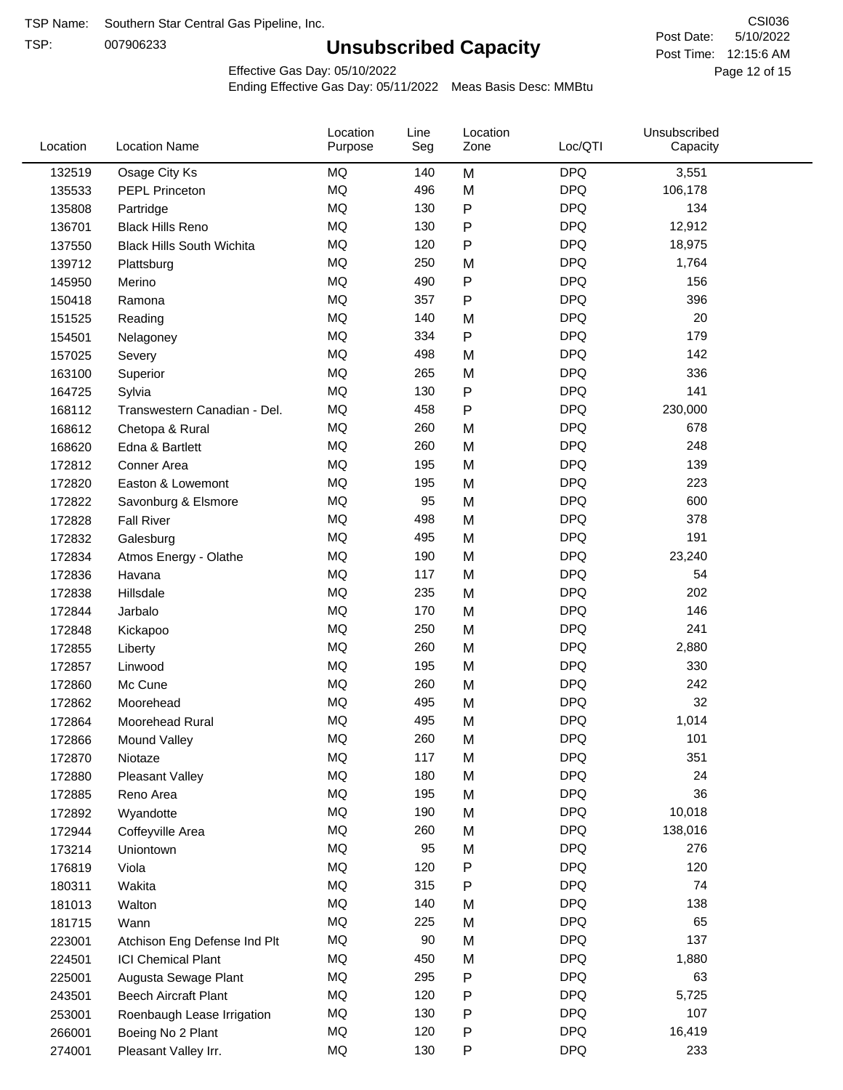TSP:

## **Unsubscribed Capacity**

5/10/2022 Page 12 of 15 Post Time: 12:15:6 AM CSI036 Post Date:

Effective Gas Day: 05/10/2022

| Location | <b>Location Name</b>             | Location<br>Purpose | Line<br>Seg | Location<br>Zone | Loc/QTI    | Unsubscribed<br>Capacity |  |
|----------|----------------------------------|---------------------|-------------|------------------|------------|--------------------------|--|
| 132519   | Osage City Ks                    | <b>MQ</b>           | 140         | M                | <b>DPQ</b> | 3,551                    |  |
| 135533   | <b>PEPL Princeton</b>            | <b>MQ</b>           | 496         | M                | <b>DPQ</b> | 106,178                  |  |
| 135808   | Partridge                        | MQ                  | 130         | P                | <b>DPQ</b> | 134                      |  |
| 136701   | <b>Black Hills Reno</b>          | <b>MQ</b>           | 130         | P                | <b>DPQ</b> | 12,912                   |  |
| 137550   | <b>Black Hills South Wichita</b> | <b>MQ</b>           | 120         | P                | <b>DPQ</b> | 18,975                   |  |
| 139712   | Plattsburg                       | <b>MQ</b>           | 250         | M                | <b>DPQ</b> | 1,764                    |  |
| 145950   | Merino                           | <b>MQ</b>           | 490         | P                | <b>DPQ</b> | 156                      |  |
| 150418   | Ramona                           | <b>MQ</b>           | 357         | $\mathsf{P}$     | <b>DPQ</b> | 396                      |  |
| 151525   | Reading                          | <b>MQ</b>           | 140         | M                | <b>DPQ</b> | 20                       |  |
| 154501   | Nelagoney                        | <b>MQ</b>           | 334         | $\mathsf{P}$     | <b>DPQ</b> | 179                      |  |
| 157025   | Severy                           | <b>MQ</b>           | 498         | M                | <b>DPQ</b> | 142                      |  |
| 163100   | Superior                         | <b>MQ</b>           | 265         | M                | <b>DPQ</b> | 336                      |  |
| 164725   | Sylvia                           | <b>MQ</b>           | 130         | P                | <b>DPQ</b> | 141                      |  |
| 168112   | Transwestern Canadian - Del.     | <b>MQ</b>           | 458         | Ρ                | <b>DPQ</b> | 230,000                  |  |
| 168612   | Chetopa & Rural                  | <b>MQ</b>           | 260         | M                | <b>DPQ</b> | 678                      |  |
| 168620   | Edna & Bartlett                  | <b>MQ</b>           | 260         | M                | <b>DPQ</b> | 248                      |  |
| 172812   | Conner Area                      | <b>MQ</b>           | 195         | M                | <b>DPQ</b> | 139                      |  |
| 172820   | Easton & Lowemont                | MQ                  | 195         | M                | <b>DPQ</b> | 223                      |  |
| 172822   | Savonburg & Elsmore              | <b>MQ</b>           | 95          | M                | <b>DPQ</b> | 600                      |  |
| 172828   | <b>Fall River</b>                | <b>MQ</b>           | 498         | M                | <b>DPQ</b> | 378                      |  |
| 172832   | Galesburg                        | <b>MQ</b>           | 495         | M                | <b>DPQ</b> | 191                      |  |
| 172834   | Atmos Energy - Olathe            | <b>MQ</b>           | 190         | M                | <b>DPQ</b> | 23,240                   |  |
| 172836   | Havana                           | <b>MQ</b>           | 117         | M                | <b>DPQ</b> | 54                       |  |
| 172838   | Hillsdale                        | <b>MQ</b>           | 235         | M                | <b>DPQ</b> | 202                      |  |
| 172844   | Jarbalo                          | <b>MQ</b>           | 170         | M                | <b>DPQ</b> | 146                      |  |
| 172848   | Kickapoo                         | <b>MQ</b>           | 250         | M                | <b>DPQ</b> | 241                      |  |
| 172855   | Liberty                          | <b>MQ</b>           | 260         | M                | <b>DPQ</b> | 2,880                    |  |
| 172857   | Linwood                          | <b>MQ</b>           | 195         | M                | <b>DPQ</b> | 330                      |  |
| 172860   | Mc Cune                          | <b>MQ</b>           | 260         | M                | <b>DPQ</b> | 242                      |  |
| 172862   | Moorehead                        | <b>MQ</b>           | 495         | M                | <b>DPQ</b> | 32                       |  |
| 172864   | Moorehead Rural                  | <b>MQ</b>           | 495         | M                | <b>DPQ</b> | 1,014                    |  |
| 172866   | Mound Valley                     | MQ                  | 260         | M                | <b>DPQ</b> | 101                      |  |
| 172870   | Niotaze                          | MQ                  | 117         | M                | <b>DPQ</b> | 351                      |  |
| 172880   | Pleasant Valley                  | MQ                  | 180         | M                | <b>DPQ</b> | 24                       |  |
| 172885   | Reno Area                        | MQ                  | 195         | M                | <b>DPQ</b> | 36                       |  |
| 172892   | Wyandotte                        | <b>MQ</b>           | 190         | M                | <b>DPQ</b> | 10,018                   |  |
| 172944   | Coffeyville Area                 | <b>MQ</b>           | 260         | M                | <b>DPQ</b> | 138,016                  |  |
| 173214   | Uniontown                        | <b>MQ</b>           | 95          | M                | <b>DPQ</b> | 276                      |  |
| 176819   | Viola                            | <b>MQ</b>           | 120         | P                | <b>DPQ</b> | 120                      |  |
| 180311   | Wakita                           | <b>MQ</b>           | 315         | Ρ                | <b>DPQ</b> | 74                       |  |
| 181013   | Walton                           | MQ                  | 140         | M                | <b>DPQ</b> | 138                      |  |
| 181715   | Wann                             | <b>MQ</b>           | 225         | M                | <b>DPQ</b> | 65                       |  |
| 223001   | Atchison Eng Defense Ind Plt     | MQ                  | 90          | M                | <b>DPQ</b> | 137                      |  |
| 224501   | <b>ICI Chemical Plant</b>        | MQ                  | 450         | M                | <b>DPQ</b> | 1,880                    |  |
| 225001   | Augusta Sewage Plant             | MQ                  | 295         | Ρ                | <b>DPQ</b> | 63                       |  |
| 243501   | <b>Beech Aircraft Plant</b>      | MQ                  | 120         | Ρ                | <b>DPQ</b> | 5,725                    |  |
| 253001   | Roenbaugh Lease Irrigation       | MQ                  | 130         | P                | <b>DPQ</b> | 107                      |  |
| 266001   | Boeing No 2 Plant                | MQ                  | 120         | P                | <b>DPQ</b> | 16,419                   |  |
| 274001   | Pleasant Valley Irr.             | <b>MQ</b>           | 130         | P                | <b>DPQ</b> | 233                      |  |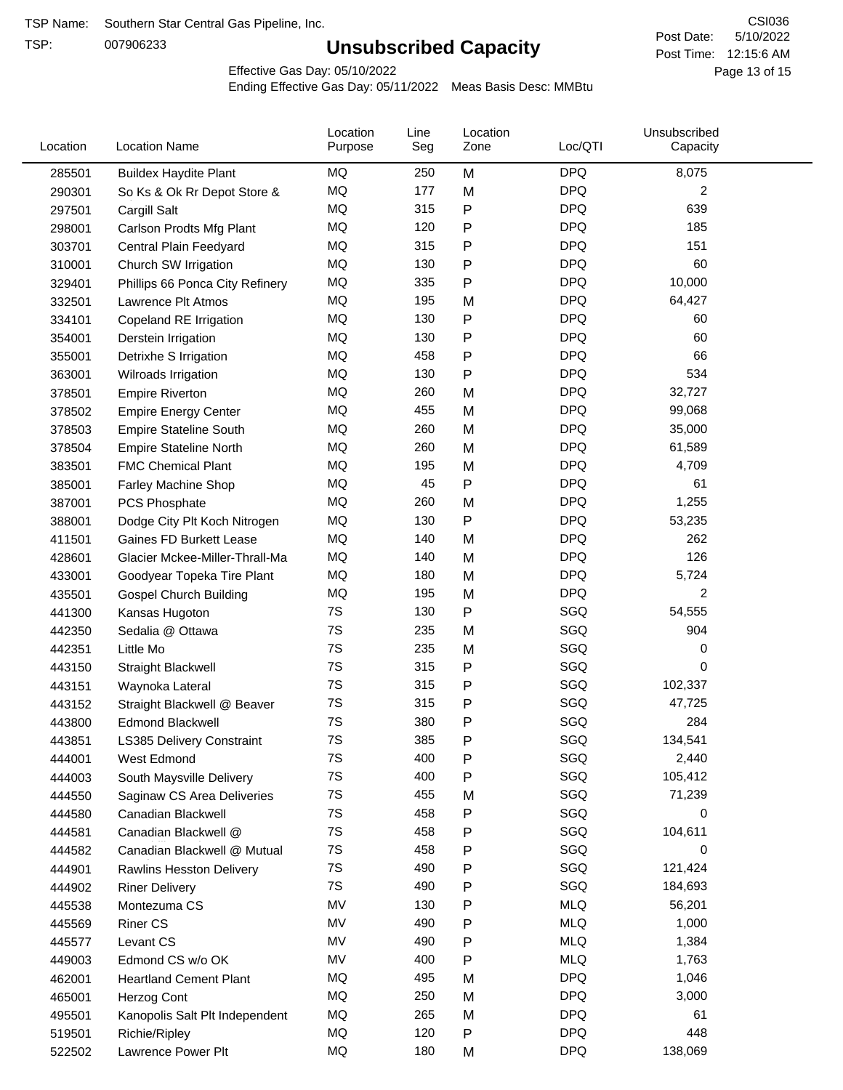TSP:

## **Unsubscribed Capacity**

5/10/2022 Page 13 of 15 Post Time: 12:15:6 AM CSI036 Post Date:

Effective Gas Day: 05/10/2022

| Location | <b>Location Name</b>            | Location<br>Purpose | Line<br>Seg | Location<br>Zone | Loc/QTI    | Unsubscribed<br>Capacity |  |
|----------|---------------------------------|---------------------|-------------|------------------|------------|--------------------------|--|
| 285501   | <b>Buildex Haydite Plant</b>    | MQ                  | 250         | M                | <b>DPQ</b> | 8,075                    |  |
| 290301   | So Ks & Ok Rr Depot Store &     | MQ                  | 177         | M                | <b>DPQ</b> | 2                        |  |
| 297501   | Cargill Salt                    | MQ                  | 315         | P                | <b>DPQ</b> | 639                      |  |
| 298001   | Carlson Prodts Mfg Plant        | MQ                  | 120         | Ρ                | <b>DPQ</b> | 185                      |  |
| 303701   | Central Plain Feedyard          | <b>MQ</b>           | 315         | Ρ                | <b>DPQ</b> | 151                      |  |
| 310001   | Church SW Irrigation            | MQ                  | 130         | Ρ                | <b>DPQ</b> | 60                       |  |
| 329401   | Phillips 66 Ponca City Refinery | MQ                  | 335         | P                | <b>DPQ</b> | 10,000                   |  |
| 332501   | Lawrence Plt Atmos              | MQ                  | 195         | M                | <b>DPQ</b> | 64,427                   |  |
| 334101   | Copeland RE Irrigation          | MQ                  | 130         | Ρ                | <b>DPQ</b> | 60                       |  |
| 354001   | Derstein Irrigation             | MQ                  | 130         | Ρ                | <b>DPQ</b> | 60                       |  |
| 355001   | Detrixhe S Irrigation           | MQ                  | 458         | Ρ                | <b>DPQ</b> | 66                       |  |
| 363001   | Wilroads Irrigation             | MQ                  | 130         | P                | <b>DPQ</b> | 534                      |  |
| 378501   | <b>Empire Riverton</b>          | MQ                  | 260         | M                | <b>DPQ</b> | 32,727                   |  |
| 378502   | <b>Empire Energy Center</b>     | MQ                  | 455         | M                | <b>DPQ</b> | 99,068                   |  |
| 378503   | <b>Empire Stateline South</b>   | MQ                  | 260         | M                | <b>DPQ</b> | 35,000                   |  |
| 378504   | <b>Empire Stateline North</b>   | MQ                  | 260         | M                | <b>DPQ</b> | 61,589                   |  |
| 383501   | <b>FMC Chemical Plant</b>       | MQ                  | 195         | M                | <b>DPQ</b> | 4,709                    |  |
| 385001   | Farley Machine Shop             | MQ                  | 45          | Ρ                | <b>DPQ</b> | 61                       |  |
| 387001   | <b>PCS Phosphate</b>            | MQ                  | 260         | M                | <b>DPQ</b> | 1,255                    |  |
| 388001   | Dodge City Plt Koch Nitrogen    | MQ                  | 130         | Ρ                | <b>DPQ</b> | 53,235                   |  |
| 411501   | Gaines FD Burkett Lease         | MQ                  | 140         | M                | <b>DPQ</b> | 262                      |  |
| 428601   | Glacier Mckee-Miller-Thrall-Ma  | MQ                  | 140         | M                | <b>DPQ</b> | 126                      |  |
| 433001   | Goodyear Topeka Tire Plant      | MQ                  | 180         | M                | <b>DPQ</b> | 5,724                    |  |
| 435501   | <b>Gospel Church Building</b>   | <b>MQ</b>           | 195         | M                | <b>DPQ</b> | 2                        |  |
| 441300   | Kansas Hugoton                  | 7S                  | 130         | Ρ                | SGQ        | 54,555                   |  |
| 442350   | Sedalia @ Ottawa                | 7S                  | 235         | M                | SGQ        | 904                      |  |
| 442351   | Little Mo                       | 7S                  | 235         | M                | SGQ        | 0                        |  |
| 443150   | <b>Straight Blackwell</b>       | 7S                  | 315         | P                | SGQ        | 0                        |  |
| 443151   | Waynoka Lateral                 | 7S                  | 315         | Ρ                | SGQ        | 102,337                  |  |
| 443152   | Straight Blackwell @ Beaver     | 7S                  | 315         | P                | SGQ        | 47,725                   |  |
| 443800   | <b>Edmond Blackwell</b>         | 7S                  | 380         | Ρ                | SGQ        | 284                      |  |
| 443851   | LS385 Delivery Constraint       | 7S                  | 385         | P                | SGQ        | 134,541                  |  |
| 444001   | West Edmond                     | 7S                  | 400         | Ρ                | SGQ        | 2,440                    |  |
| 444003   | South Maysville Delivery        | 7S                  | 400         | Ρ                | SGQ        | 105,412                  |  |
| 444550   | Saginaw CS Area Deliveries      | 7S                  | 455         | M                | SGQ        | 71,239                   |  |
| 444580   | Canadian Blackwell              | 7S                  | 458         | Ρ                | SGQ        | 0                        |  |
| 444581   | Canadian Blackwell @            | 7S                  | 458         | Ρ                | SGQ        | 104,611                  |  |
| 444582   | Canadian Blackwell @ Mutual     | 7S                  | 458         | Ρ                | SGQ        | 0                        |  |
| 444901   | Rawlins Hesston Delivery        | 7S                  | 490         | Ρ                | SGQ        | 121,424                  |  |
| 444902   | <b>Riner Delivery</b>           | 7S                  | 490         | Ρ                | SGQ        | 184,693                  |  |
| 445538   | Montezuma CS                    | MV                  | 130         | Ρ                | <b>MLQ</b> | 56,201                   |  |
| 445569   | <b>Riner CS</b>                 | MV                  | 490         | P                | <b>MLQ</b> | 1,000                    |  |
| 445577   | Levant CS                       | MV                  | 490         | Ρ                | <b>MLQ</b> | 1,384                    |  |
| 449003   | Edmond CS w/o OK                | MV                  | 400         | Ρ                | <b>MLQ</b> | 1,763                    |  |
| 462001   | <b>Heartland Cement Plant</b>   | ΜQ                  | 495         | M                | <b>DPQ</b> | 1,046                    |  |
| 465001   | Herzog Cont                     | MQ                  | 250         | M                | <b>DPQ</b> | 3,000                    |  |
| 495501   | Kanopolis Salt Plt Independent  | MQ                  | 265         | M                | <b>DPQ</b> | 61                       |  |
| 519501   | Richie/Ripley                   | MQ                  | 120         | P                | <b>DPQ</b> | 448                      |  |
| 522502   | Lawrence Power Plt              | MQ                  | 180         | M                | <b>DPQ</b> | 138,069                  |  |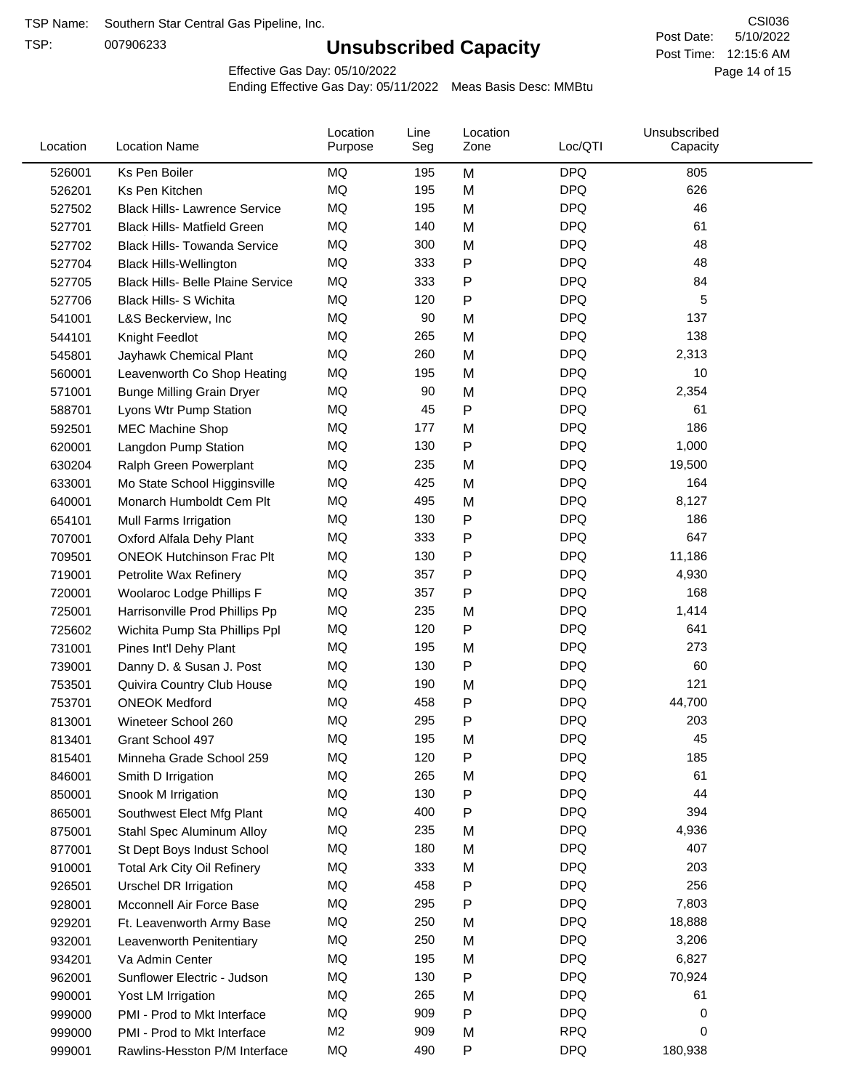TSP:

## **Unsubscribed Capacity**

5/10/2022 Page 14 of 15 Post Time: 12:15:6 AM CSI036 Post Date:

Effective Gas Day: 05/10/2022

| Location | <b>Location Name</b>                     | Location<br>Purpose | Line<br>Seg | Location<br>Zone | Loc/QTI    | Unsubscribed<br>Capacity |  |
|----------|------------------------------------------|---------------------|-------------|------------------|------------|--------------------------|--|
| 526001   | Ks Pen Boiler                            | MQ                  | 195         | M                | <b>DPQ</b> | 805                      |  |
| 526201   | Ks Pen Kitchen                           | MQ                  | 195         | M                | <b>DPQ</b> | 626                      |  |
| 527502   | <b>Black Hills- Lawrence Service</b>     | MQ                  | 195         | M                | <b>DPQ</b> | 46                       |  |
| 527701   | <b>Black Hills- Matfield Green</b>       | MQ                  | 140         | M                | <b>DPQ</b> | 61                       |  |
| 527702   | <b>Black Hills- Towanda Service</b>      | MQ                  | 300         | M                | <b>DPQ</b> | 48                       |  |
| 527704   | <b>Black Hills-Wellington</b>            | MQ                  | 333         | $\mathsf{P}$     | <b>DPQ</b> | 48                       |  |
| 527705   | <b>Black Hills- Belle Plaine Service</b> | MQ                  | 333         | $\mathsf{P}$     | <b>DPQ</b> | 84                       |  |
| 527706   | Black Hills- S Wichita                   | MQ                  | 120         | $\mathsf{P}$     | <b>DPQ</b> | 5                        |  |
| 541001   | L&S Beckerview, Inc                      | MQ                  | 90          | M                | <b>DPQ</b> | 137                      |  |
| 544101   | Knight Feedlot                           | MQ                  | 265         | M                | <b>DPQ</b> | 138                      |  |
| 545801   | Jayhawk Chemical Plant                   | MQ                  | 260         | M                | <b>DPQ</b> | 2,313                    |  |
| 560001   | Leavenworth Co Shop Heating              | MQ                  | 195         | M                | <b>DPQ</b> | 10                       |  |
| 571001   | <b>Bunge Milling Grain Dryer</b>         | MQ                  | 90          | M                | <b>DPQ</b> | 2,354                    |  |
| 588701   | Lyons Wtr Pump Station                   | MQ                  | 45          | $\mathsf{P}$     | <b>DPQ</b> | 61                       |  |
| 592501   | <b>MEC Machine Shop</b>                  | MQ                  | 177         | M                | <b>DPQ</b> | 186                      |  |
| 620001   | Langdon Pump Station                     | MQ                  | 130         | $\mathsf{P}$     | <b>DPQ</b> | 1,000                    |  |
| 630204   | Ralph Green Powerplant                   | MQ                  | 235         | M                | <b>DPQ</b> | 19,500                   |  |
| 633001   | Mo State School Higginsville             | MQ                  | 425         | M                | <b>DPQ</b> | 164                      |  |
| 640001   | Monarch Humboldt Cem Plt                 | MQ                  | 495         | M                | <b>DPQ</b> | 8,127                    |  |
| 654101   | Mull Farms Irrigation                    | MQ                  | 130         | Ρ                | <b>DPQ</b> | 186                      |  |
| 707001   | Oxford Alfala Dehy Plant                 | MQ                  | 333         | P                | <b>DPQ</b> | 647                      |  |
| 709501   | <b>ONEOK Hutchinson Frac Plt</b>         | MQ                  | 130         | P                | <b>DPQ</b> | 11,186                   |  |
| 719001   | Petrolite Wax Refinery                   | MQ                  | 357         | $\mathsf{P}$     | <b>DPQ</b> | 4,930                    |  |
| 720001   | Woolaroc Lodge Phillips F                | MQ                  | 357         | $\mathsf{P}$     | <b>DPQ</b> | 168                      |  |
| 725001   | Harrisonville Prod Phillips Pp           | MQ                  | 235         | M                | <b>DPQ</b> | 1,414                    |  |
| 725602   | Wichita Pump Sta Phillips Ppl            | MQ                  | 120         | $\mathsf{P}$     | <b>DPQ</b> | 641                      |  |
| 731001   | Pines Int'l Dehy Plant                   | MQ                  | 195         | M                | <b>DPQ</b> | 273                      |  |
| 739001   | Danny D. & Susan J. Post                 | MQ                  | 130         | Ρ                | <b>DPQ</b> | 60                       |  |
| 753501   | Quivira Country Club House               | MQ                  | 190         | M                | <b>DPQ</b> | 121                      |  |
| 753701   | <b>ONEOK Medford</b>                     | MQ                  | 458         | P                | <b>DPQ</b> | 44,700                   |  |
| 813001   | Wineteer School 260                      | MQ                  | 295         | P                | <b>DPQ</b> | 203                      |  |
| 813401   | Grant School 497                         | <b>MQ</b>           | 195         | M                | <b>DPQ</b> | 45                       |  |
| 815401   | Minneha Grade School 259                 | MQ                  | 120         | Ρ                | <b>DPQ</b> | 185                      |  |
| 846001   | Smith D Irrigation                       | MQ                  | 265         | M                | <b>DPQ</b> | 61                       |  |
| 850001   | Snook M Irrigation                       | MQ                  | 130         | $\mathsf{P}$     | <b>DPQ</b> | 44                       |  |
| 865001   | Southwest Elect Mfg Plant                | MQ                  | 400         | $\mathsf{P}$     | <b>DPQ</b> | 394                      |  |
| 875001   | Stahl Spec Aluminum Alloy                | MQ                  | 235         | M                | <b>DPQ</b> | 4,936                    |  |
| 877001   | St Dept Boys Indust School               | MQ                  | 180         | M                | <b>DPQ</b> | 407                      |  |
| 910001   | <b>Total Ark City Oil Refinery</b>       | MQ                  | 333         | M                | <b>DPQ</b> | 203                      |  |
| 926501   | <b>Urschel DR Irrigation</b>             | MQ                  | 458         | ${\sf P}$        | <b>DPQ</b> | 256                      |  |
| 928001   | Mcconnell Air Force Base                 | MQ                  | 295         | $\mathsf{P}$     | <b>DPQ</b> | 7,803                    |  |
| 929201   | Ft. Leavenworth Army Base                | MQ                  | 250         | M                | <b>DPQ</b> | 18,888                   |  |
| 932001   | Leavenworth Penitentiary                 | MQ                  | 250         | M                | <b>DPQ</b> | 3,206                    |  |
| 934201   | Va Admin Center                          | MQ                  | 195         | M                | <b>DPQ</b> | 6,827                    |  |
| 962001   | Sunflower Electric - Judson              | MQ                  | 130         | ${\sf P}$        | <b>DPQ</b> | 70,924                   |  |
| 990001   | Yost LM Irrigation                       | MQ                  | 265         | M                | <b>DPQ</b> | 61                       |  |
| 999000   | PMI - Prod to Mkt Interface              | MQ                  | 909         | Ρ                | <b>DPQ</b> | 0                        |  |
| 999000   | PMI - Prod to Mkt Interface              | M <sub>2</sub>      | 909         | M                | <b>RPQ</b> | 0                        |  |
| 999001   | Rawlins-Hesston P/M Interface            | MQ                  | 490         | ${\sf P}$        | <b>DPQ</b> | 180,938                  |  |